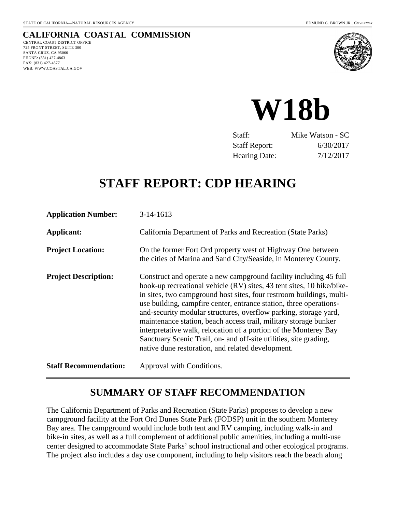# **CALIFORNIA COASTAL COMMISSION**

CENTRAL COAST DISTRICT OFFICE 725 FRONT STREET, SUITE 300 SANTA CRUZ, CA 95060 PHONE: (831) 427-4863 FAX: (831) 427-4877 WEB: WWW.COASTAL.CA.GOV





| Staff:               | Mike Watson - SC |
|----------------------|------------------|
| <b>Staff Report:</b> | 6/30/2017        |
| <b>Hearing Date:</b> | 7/12/2017        |

# **STAFF REPORT: CDP HEARING**

| <b>Application Number:</b>   | $3-14-1613$                                                                                                                                                                                                                                                                                                                                                                                                                                                                                                                                                                                                                    |
|------------------------------|--------------------------------------------------------------------------------------------------------------------------------------------------------------------------------------------------------------------------------------------------------------------------------------------------------------------------------------------------------------------------------------------------------------------------------------------------------------------------------------------------------------------------------------------------------------------------------------------------------------------------------|
| Applicant:                   | California Department of Parks and Recreation (State Parks)                                                                                                                                                                                                                                                                                                                                                                                                                                                                                                                                                                    |
| <b>Project Location:</b>     | On the former Fort Ord property west of Highway One between<br>the cities of Marina and Sand City/Seaside, in Monterey County.                                                                                                                                                                                                                                                                                                                                                                                                                                                                                                 |
| <b>Project Description:</b>  | Construct and operate a new campground facility including 45 full<br>hook-up recreational vehicle (RV) sites, 43 tent sites, 10 hike/bike-<br>in sites, two campground host sites, four restroom buildings, multi-<br>use building, campfire center, entrance station, three operations-<br>and-security modular structures, overflow parking, storage yard,<br>maintenance station, beach access trail, military storage bunker<br>interpretative walk, relocation of a portion of the Monterey Bay<br>Sanctuary Scenic Trail, on- and off-site utilities, site grading,<br>native dune restoration, and related development. |
| <b>Staff Recommendation:</b> | Approval with Conditions.                                                                                                                                                                                                                                                                                                                                                                                                                                                                                                                                                                                                      |

# **SUMMARY OF STAFF RECOMMENDATION**

The California Department of Parks and Recreation (State Parks) proposes to develop a new campground facility at the Fort Ord Dunes State Park (FODSP) unit in the southern Monterey Bay area. The campground would include both tent and RV camping, including walk-in and bike-in sites, as well as a full complement of additional public amenities, including a multi-use center designed to accommodate State Parks' school instructional and other ecological programs. The project also includes a day use component, including to help visitors reach the beach along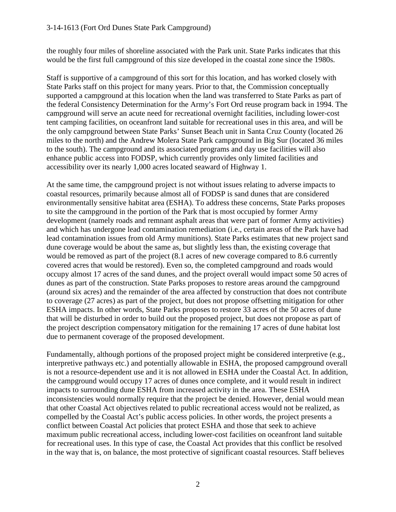the roughly four miles of shoreline associated with the Park unit. State Parks indicates that this would be the first full campground of this size developed in the coastal zone since the 1980s.

Staff is supportive of a campground of this sort for this location, and has worked closely with State Parks staff on this project for many years. Prior to that, the Commission conceptually supported a campground at this location when the land was transferred to State Parks as part of the federal Consistency Determination for the Army's Fort Ord reuse program back in 1994. The campground will serve an acute need for recreational overnight facilities, including lower-cost tent camping facilities, on oceanfront land suitable for recreational uses in this area, and will be the only campground between State Parks' Sunset Beach unit in Santa Cruz County (located 26 miles to the north) and the Andrew Molera State Park campground in Big Sur (located 36 miles to the south). The campground and its associated programs and day use facilities will also enhance public access into FODSP, which currently provides only limited facilities and accessibility over its nearly 1,000 acres located seaward of Highway 1.

At the same time, the campground project is not without issues relating to adverse impacts to coastal resources, primarily because almost all of FODSP is sand dunes that are considered environmentally sensitive habitat area (ESHA). To address these concerns, State Parks proposes to site the campground in the portion of the Park that is most occupied by former Army development (namely roads and remnant asphalt areas that were part of former Army activities) and which has undergone lead contamination remediation (i.e., certain areas of the Park have had lead contamination issues from old Army munitions). State Parks estimates that new project sand dune coverage would be about the same as, but slightly less than, the existing coverage that would be removed as part of the project (8.1 acres of new coverage compared to 8.6 currently covered acres that would be restored). Even so, the completed campground and roads would occupy almost 17 acres of the sand dunes, and the project overall would impact some 50 acres of dunes as part of the construction. State Parks proposes to restore areas around the campground (around six acres) and the remainder of the area affected by construction that does not contribute to coverage (27 acres) as part of the project, but does not propose offsetting mitigation for other ESHA impacts. In other words, State Parks proposes to restore 33 acres of the 50 acres of dune that will be disturbed in order to build out the proposed project, but does not propose as part of the project description compensatory mitigation for the remaining 17 acres of dune habitat lost due to permanent coverage of the proposed development.

Fundamentally, although portions of the proposed project might be considered interpretive (e.g., interpretive pathways etc.) and potentially allowable in ESHA, the proposed campground overall is not a resource-dependent use and it is not allowed in ESHA under the Coastal Act. In addition, the campground would occupy 17 acres of dunes once complete, and it would result in indirect impacts to surrounding dune ESHA from increased activity in the area. These ESHA inconsistencies would normally require that the project be denied. However, denial would mean that other Coastal Act objectives related to public recreational access would not be realized, as compelled by the Coastal Act's public access policies. In other words, the project presents a conflict between Coastal Act policies that protect ESHA and those that seek to achieve maximum public recreational access, including lower-cost facilities on oceanfront land suitable for recreational uses. In this type of case, the Coastal Act provides that this conflict be resolved in the way that is, on balance, the most protective of significant coastal resources. Staff believes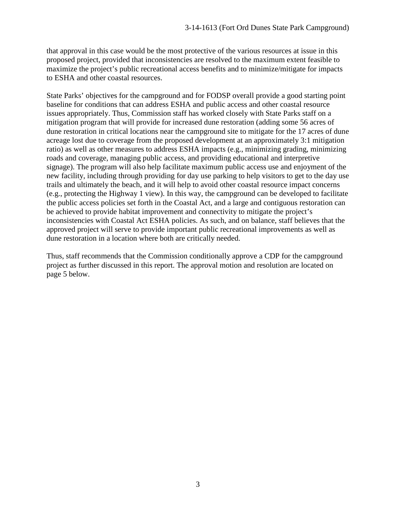that approval in this case would be the most protective of the various resources at issue in this proposed project, provided that inconsistencies are resolved to the maximum extent feasible to maximize the project's public recreational access benefits and to minimize/mitigate for impacts to ESHA and other coastal resources.

State Parks' objectives for the campground and for FODSP overall provide a good starting point baseline for conditions that can address ESHA and public access and other coastal resource issues appropriately. Thus, Commission staff has worked closely with State Parks staff on a mitigation program that will provide for increased dune restoration (adding some 56 acres of dune restoration in critical locations near the campground site to mitigate for the 17 acres of dune acreage lost due to coverage from the proposed development at an approximately 3:1 mitigation ratio) as well as other measures to address ESHA impacts (e.g., minimizing grading, minimizing roads and coverage, managing public access, and providing educational and interpretive signage). The program will also help facilitate maximum public access use and enjoyment of the new facility, including through providing for day use parking to help visitors to get to the day use trails and ultimately the beach, and it will help to avoid other coastal resource impact concerns (e.g., protecting the Highway 1 view). In this way, the campground can be developed to facilitate the public access policies set forth in the Coastal Act, and a large and contiguous restoration can be achieved to provide habitat improvement and connectivity to mitigate the project's inconsistencies with Coastal Act ESHA policies. As such, and on balance, staff believes that the approved project will serve to provide important public recreational improvements as well as dune restoration in a location where both are critically needed.

Thus, staff recommends that the Commission conditionally approve a CDP for the campground project as further discussed in this report. The approval motion and resolution are located on page 5 below.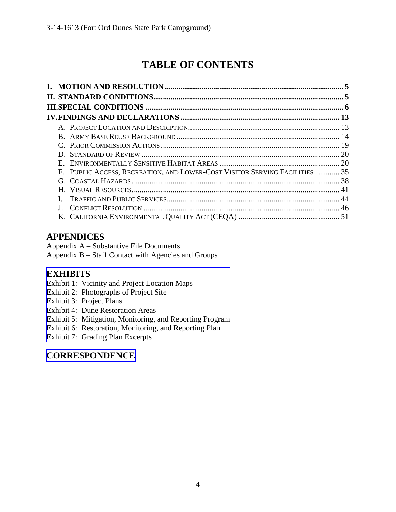# **TABLE OF CONTENTS**

| E.                                                                         |  |
|----------------------------------------------------------------------------|--|
| F. PUBLIC ACCESS, RECREATION, AND LOWER-COST VISITOR SERVING FACILITIES 35 |  |
|                                                                            |  |
|                                                                            |  |
|                                                                            |  |
|                                                                            |  |
|                                                                            |  |
|                                                                            |  |

# **APPENDICES**

Appendix A – Substantive File Documents

Appendix B – Staff Contact with Agencies and Groups

# **EXHIBITS**

- Exhibit 1: Vicinity and Project Location Maps
- Exhibit 2: Photographs of Project Site
- Exhibit 3: Project Plans
- Exhibit 4: Dune Restoration Areas

[Exhibit 5: Mitigation, Monitoring, and Reporting Program](https://documents.coastal.ca.gov/reports/2017/7/w18b/w18b-7-2017-exhibits.pdf) 

Exhibit 6: Restoration, Monitoring, and Reporting Plan

Exhibit 7: Grading Plan Excerpts

# **[CORRESPONDENCE](https://documents.coastal.ca.gov/reports/2017/7/w18b/w18b-7-2017-corresp.pdf)**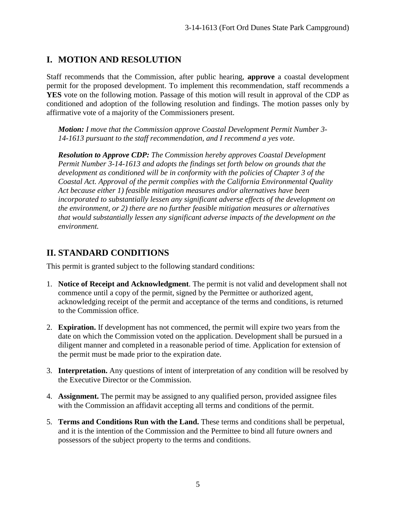# **I. MOTION AND RESOLUTION**

Staff recommends that the Commission, after public hearing, **approve** a coastal development permit for the proposed development. To implement this recommendation, staff recommends a **YES** vote on the following motion. Passage of this motion will result in approval of the CDP as conditioned and adoption of the following resolution and findings. The motion passes only by affirmative vote of a majority of the Commissioners present.

*Motion: I move that the Commission approve Coastal Development Permit Number 3- 14-1613 pursuant to the staff recommendation, and I recommend a yes vote.* 

*Resolution to Approve CDP: The Commission hereby approves Coastal Development Permit Number 3-14-1613 and adopts the findings set forth below on grounds that the development as conditioned will be in conformity with the policies of Chapter 3 of the Coastal Act. Approval of the permit complies with the California Environmental Quality Act because either 1) feasible mitigation measures and/or alternatives have been incorporated to substantially lessen any significant adverse effects of the development on the environment, or 2) there are no further feasible mitigation measures or alternatives that would substantially lessen any significant adverse impacts of the development on the environment.* 

# **II. STANDARD CONDITIONS**

This permit is granted subject to the following standard conditions:

- 1. **Notice of Receipt and Acknowledgment**. The permit is not valid and development shall not commence until a copy of the permit, signed by the Permittee or authorized agent, acknowledging receipt of the permit and acceptance of the terms and conditions, is returned to the Commission office.
- 2. **Expiration.** If development has not commenced, the permit will expire two years from the date on which the Commission voted on the application. Development shall be pursued in a diligent manner and completed in a reasonable period of time. Application for extension of the permit must be made prior to the expiration date.
- 3. **Interpretation.** Any questions of intent of interpretation of any condition will be resolved by the Executive Director or the Commission.
- 4. **Assignment.** The permit may be assigned to any qualified person, provided assignee files with the Commission an affidavit accepting all terms and conditions of the permit.
- 5. **Terms and Conditions Run with the Land.** These terms and conditions shall be perpetual, and it is the intention of the Commission and the Permittee to bind all future owners and possessors of the subject property to the terms and conditions.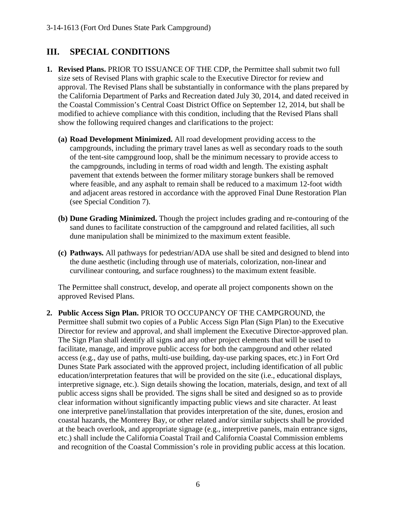# **III. SPECIAL CONDITIONS**

- **1. Revised Plans.** PRIOR TO ISSUANCE OF THE CDP, the Permittee shall submit two full size sets of Revised Plans with graphic scale to the Executive Director for review and approval. The Revised Plans shall be substantially in conformance with the plans prepared by the California Department of Parks and Recreation dated July 30, 2014, and dated received in the Coastal Commission's Central Coast District Office on September 12, 2014, but shall be modified to achieve compliance with this condition, including that the Revised Plans shall show the following required changes and clarifications to the project:
	- **(a) Road Development Minimized.** All road development providing access to the campgrounds, including the primary travel lanes as well as secondary roads to the south of the tent-site campground loop, shall be the minimum necessary to provide access to the campgrounds, including in terms of road width and length. The existing asphalt pavement that extends between the former military storage bunkers shall be removed where feasible, and any asphalt to remain shall be reduced to a maximum 12-foot width and adjacent areas restored in accordance with the approved Final Dune Restoration Plan (see Special Condition 7).
	- **(b) Dune Grading Minimized.** Though the project includes grading and re-contouring of the sand dunes to facilitate construction of the campground and related facilities, all such dune manipulation shall be minimized to the maximum extent feasible.
	- **(c) Pathways.** All pathways for pedestrian/ADA use shall be sited and designed to blend into the dune aesthetic (including through use of materials, colorization, non-linear and curvilinear contouring, and surface roughness) to the maximum extent feasible.

The Permittee shall construct, develop, and operate all project components shown on the approved Revised Plans.

**2. Public Access Sign Plan.** PRIOR TO OCCUPANCY OF THE CAMPGROUND, the Permittee shall submit two copies of a Public Access Sign Plan (Sign Plan) to the Executive Director for review and approval, and shall implement the Executive Director-approved plan. The Sign Plan shall identify all signs and any other project elements that will be used to facilitate, manage, and improve public access for both the campground and other related access (e.g., day use of paths, multi-use building, day-use parking spaces, etc.) in Fort Ord Dunes State Park associated with the approved project, including identification of all public education/interpretation features that will be provided on the site (i.e., educational displays, interpretive signage, etc.). Sign details showing the location, materials, design, and text of all public access signs shall be provided. The signs shall be sited and designed so as to provide clear information without significantly impacting public views and site character. At least one interpretive panel/installation that provides interpretation of the site, dunes, erosion and coastal hazards, the Monterey Bay, or other related and/or similar subjects shall be provided at the beach overlook, and appropriate signage (e.g., interpretive panels, main entrance signs, etc.) shall include the California Coastal Trail and California Coastal Commission emblems and recognition of the Coastal Commission's role in providing public access at this location.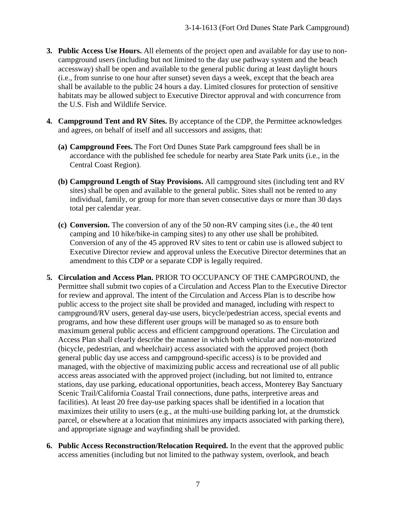- **3. Public Access Use Hours.** All elements of the project open and available for day use to noncampground users (including but not limited to the day use pathway system and the beach accessway) shall be open and available to the general public during at least daylight hours (i.e., from sunrise to one hour after sunset) seven days a week, except that the beach area shall be available to the public 24 hours a day. Limited closures for protection of sensitive habitats may be allowed subject to Executive Director approval and with concurrence from the U.S. Fish and Wildlife Service.
- **4. Campground Tent and RV Sites.** By acceptance of the CDP, the Permittee acknowledges and agrees, on behalf of itself and all successors and assigns, that:
	- **(a) Campground Fees.** The Fort Ord Dunes State Park campground fees shall be in accordance with the published fee schedule for nearby area State Park units (i.e., in the Central Coast Region).
	- **(b) Campground Length of Stay Provisions.** All campground sites (including tent and RV sites) shall be open and available to the general public. Sites shall not be rented to any individual, family, or group for more than seven consecutive days or more than 30 days total per calendar year.
	- **(c) Conversion.** The conversion of any of the 50 non-RV camping sites (i.e., the 40 tent camping and 10 hike/bike-in camping sites) to any other use shall be prohibited. Conversion of any of the 45 approved RV sites to tent or cabin use is allowed subject to Executive Director review and approval unless the Executive Director determines that an amendment to this CDP or a separate CDP is legally required.
- **5. Circulation and Access Plan.** PRIOR TO OCCUPANCY OF THE CAMPGROUND, the Permittee shall submit two copies of a Circulation and Access Plan to the Executive Director for review and approval. The intent of the Circulation and Access Plan is to describe how public access to the project site shall be provided and managed, including with respect to campground/RV users, general day-use users, bicycle/pedestrian access, special events and programs, and how these different user groups will be managed so as to ensure both maximum general public access and efficient campground operations. The Circulation and Access Plan shall clearly describe the manner in which both vehicular and non-motorized (bicycle, pedestrian, and wheelchair) access associated with the approved project (both general public day use access and campground-specific access) is to be provided and managed, with the objective of maximizing public access and recreational use of all public access areas associated with the approved project (including, but not limited to, entrance stations, day use parking, educational opportunities, beach access, Monterey Bay Sanctuary Scenic Trail/California Coastal Trail connections, dune paths, interpretive areas and facilities). At least 20 free day-use parking spaces shall be identified in a location that maximizes their utility to users (e.g., at the multi-use building parking lot, at the drumstick parcel, or elsewhere at a location that minimizes any impacts associated with parking there), and appropriate signage and wayfinding shall be provided.
- **6. Public Access Reconstruction/Relocation Required.** In the event that the approved public access amenities (including but not limited to the pathway system, overlook, and beach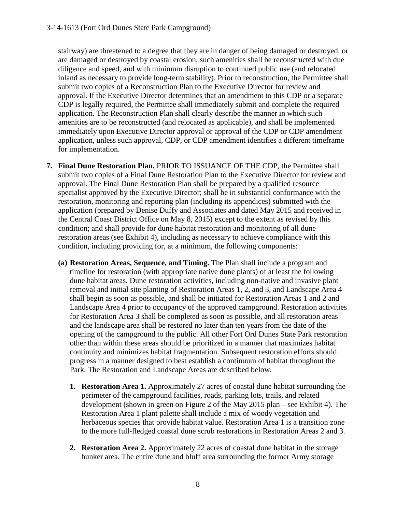stairway) are threatened to a degree that they are in danger of being damaged or destroyed, or are damaged or destroyed by coastal erosion, such amenities shall be reconstructed with due diligence and speed, and with minimum disruption to continued public use (and relocated inland as necessary to provide long-term stability). Prior to reconstruction, the Permittee shall submit two copies of a Reconstruction Plan to the Executive Director for review and approval. If the Executive Director determines that an amendment to this CDP or a separate CDP is legally required, the Permittee shall immediately submit and complete the required application. The Reconstruction Plan shall clearly describe the manner in which such amenities are to be reconstructed (and relocated as applicable), and shall be implemented immediately upon Executive Director approval or approval of the CDP or CDP amendment application, unless such approval, CDP, or CDP amendment identifies a different timeframe for implementation.

- **7. Final Dune Restoration Plan.** PRIOR TO ISSUANCE OF THE CDP, the Permittee shall submit two copies of a Final Dune Restoration Plan to the Executive Director for review and approval. The Final Dune Restoration Plan shall be prepared by a qualified resource specialist approved by the Executive Director; shall be in substantial conformance with the restoration, monitoring and reporting plan (including its appendices) submitted with the application (prepared by Denise Duffy and Associates and dated May 2015 and received in the Central Coast District Office on May 8, 2015) except to the extent as revised by this condition; and shall provide for dune habitat restoration and monitoring of all dune restoration areas (see Exhibit 4), including as necessary to achieve compliance with this condition, including providing for, at a minimum, the following components:
	- **(a) Restoration Areas, Sequence, and Timing.** The Plan shall include a program and timeline for restoration (with appropriate native dune plants) of at least the following dune habitat areas. Dune restoration activities, including non-native and invasive plant removal and initial site planting of Restoration Areas 1, 2, and 3, and Landscape Area 4 shall begin as soon as possible, and shall be initiated for Restoration Areas 1 and 2 and Landscape Area 4 prior to occupancy of the approved campground. Restoration activities for Restoration Area 3 shall be completed as soon as possible, and all restoration areas and the landscape area shall be restored no later than ten years from the date of the opening of the campground to the public. All other Fort Ord Dunes State Park restoration other than within these areas should be prioritized in a manner that maximizes habitat continuity and minimizes habitat fragmentation. Subsequent restoration efforts should progress in a manner designed to best establish a continuum of habitat throughout the Park. The Restoration and Landscape Areas are described below.
		- **1. Restoration Area 1.** Approximately 27 acres of coastal dune habitat surrounding the perimeter of the campground facilities, roads, parking lots, trails, and related development (shown in green on Figure 2 of the May 2015 plan – see Exhibit 4). The Restoration Area 1 plant palette shall include a mix of woody vegetation and herbaceous species that provide habitat value. Restoration Area 1 is a transition zone to the more full-fledged coastal dune scrub restorations in Restoration Areas 2 and 3.
		- **2. Restoration Area 2.** Approximately 22 acres of coastal dune habitat in the storage bunker area. The entire dune and bluff area surrounding the former Army storage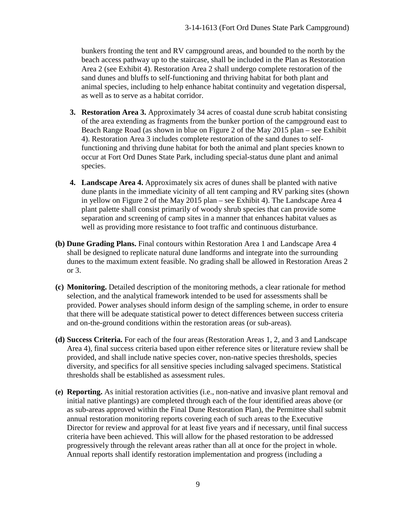bunkers fronting the tent and RV campground areas, and bounded to the north by the beach access pathway up to the staircase, shall be included in the Plan as Restoration Area 2 (see Exhibit 4). Restoration Area 2 shall undergo complete restoration of the sand dunes and bluffs to self-functioning and thriving habitat for both plant and animal species, including to help enhance habitat continuity and vegetation dispersal, as well as to serve as a habitat corridor.

- **3. Restoration Area 3.** Approximately 34 acres of coastal dune scrub habitat consisting of the area extending as fragments from the bunker portion of the campground east to Beach Range Road (as shown in blue on Figure 2 of the May 2015 plan – see Exhibit 4). Restoration Area 3 includes complete restoration of the sand dunes to selffunctioning and thriving dune habitat for both the animal and plant species known to occur at Fort Ord Dunes State Park, including special-status dune plant and animal species.
- **4. Landscape Area 4.** Approximately six acres of dunes shall be planted with native dune plants in the immediate vicinity of all tent camping and RV parking sites (shown in yellow on Figure 2 of the May 2015 plan – see Exhibit 4). The Landscape Area 4 plant palette shall consist primarily of woody shrub species that can provide some separation and screening of camp sites in a manner that enhances habitat values as well as providing more resistance to foot traffic and continuous disturbance.
- **(b) Dune Grading Plans.** Final contours within Restoration Area 1 and Landscape Area 4 shall be designed to replicate natural dune landforms and integrate into the surrounding dunes to the maximum extent feasible. No grading shall be allowed in Restoration Areas 2 or 3.
- **(c) Monitoring.** Detailed description of the monitoring methods, a clear rationale for method selection, and the analytical framework intended to be used for assessments shall be provided. Power analyses should inform design of the sampling scheme, in order to ensure that there will be adequate statistical power to detect differences between success criteria and on-the-ground conditions within the restoration areas (or sub-areas).
- **(d) Success Criteria.** For each of the four areas (Restoration Areas 1, 2, and 3 and Landscape Area 4), final success criteria based upon either reference sites or literature review shall be provided, and shall include native species cover, non-native species thresholds, species diversity, and specifics for all sensitive species including salvaged specimens. Statistical thresholds shall be established as assessment rules.
- **(e) Reporting.** As initial restoration activities (i.e., non-native and invasive plant removal and initial native plantings) are completed through each of the four identified areas above (or as sub-areas approved within the Final Dune Restoration Plan), the Permittee shall submit annual restoration monitoring reports covering each of such areas to the Executive Director for review and approval for at least five years and if necessary, until final success criteria have been achieved. This will allow for the phased restoration to be addressed progressively through the relevant areas rather than all at once for the project in whole. Annual reports shall identify restoration implementation and progress (including a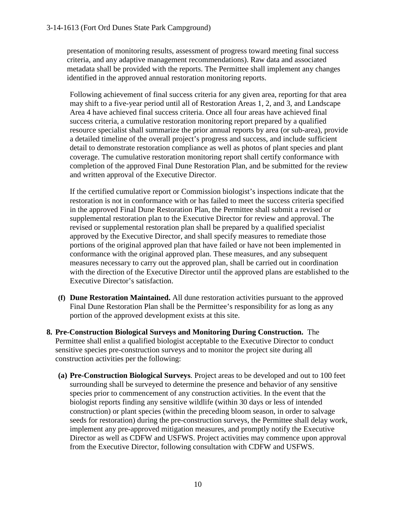presentation of monitoring results, assessment of progress toward meeting final success criteria, and any adaptive management recommendations). Raw data and associated metadata shall be provided with the reports. The Permittee shall implement any changes identified in the approved annual restoration monitoring reports.

Following achievement of final success criteria for any given area, reporting for that area may shift to a five-year period until all of Restoration Areas 1, 2, and 3, and Landscape Area 4 have achieved final success criteria. Once all four areas have achieved final success criteria, a cumulative restoration monitoring report prepared by a qualified resource specialist shall summarize the prior annual reports by area (or sub-area), provide a detailed timeline of the overall project's progress and success, and include sufficient detail to demonstrate restoration compliance as well as photos of plant species and plant coverage. The cumulative restoration monitoring report shall certify conformance with completion of the approved Final Dune Restoration Plan, and be submitted for the review and written approval of the Executive Director.

If the certified cumulative report or Commission biologist's inspections indicate that the restoration is not in conformance with or has failed to meet the success criteria specified in the approved Final Dune Restoration Plan, the Permittee shall submit a revised or supplemental restoration plan to the Executive Director for review and approval. The revised or supplemental restoration plan shall be prepared by a qualified specialist approved by the Executive Director, and shall specify measures to remediate those portions of the original approved plan that have failed or have not been implemented in conformance with the original approved plan. These measures, and any subsequent measures necessary to carry out the approved plan, shall be carried out in coordination with the direction of the Executive Director until the approved plans are established to the Executive Director's satisfaction.

- **(f) Dune Restoration Maintained.** All dune restoration activities pursuant to the approved Final Dune Restoration Plan shall be the Permittee's responsibility for as long as any portion of the approved development exists at this site.
- **8. Pre-Construction Biological Surveys and Monitoring During Construction.** The Permittee shall enlist a qualified biologist acceptable to the Executive Director to conduct sensitive species pre-construction surveys and to monitor the project site during all construction activities per the following:
	- **(a) Pre-Construction Biological Surveys**. Project areas to be developed and out to 100 feet surrounding shall be surveyed to determine the presence and behavior of any sensitive species prior to commencement of any construction activities. In the event that the biologist reports finding any sensitive wildlife (within 30 days or less of intended construction) or plant species (within the preceding bloom season, in order to salvage seeds for restoration) during the pre-construction surveys, the Permittee shall delay work, implement any pre-approved mitigation measures, and promptly notify the Executive Director as well as CDFW and USFWS. Project activities may commence upon approval from the Executive Director, following consultation with CDFW and USFWS.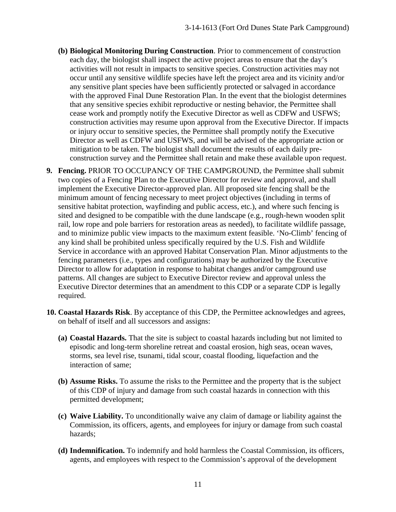- **(b) Biological Monitoring During Construction**. Prior to commencement of construction each day, the biologist shall inspect the active project areas to ensure that the day's activities will not result in impacts to sensitive species. Construction activities may not occur until any sensitive wildlife species have left the project area and its vicinity and/or any sensitive plant species have been sufficiently protected or salvaged in accordance with the approved Final Dune Restoration Plan. In the event that the biologist determines that any sensitive species exhibit reproductive or nesting behavior, the Permittee shall cease work and promptly notify the Executive Director as well as CDFW and USFWS; construction activities may resume upon approval from the Executive Director. If impacts or injury occur to sensitive species, the Permittee shall promptly notify the Executive Director as well as CDFW and USFWS, and will be advised of the appropriate action or mitigation to be taken. The biologist shall document the results of each daily preconstruction survey and the Permittee shall retain and make these available upon request.
- **9. Fencing.** PRIOR TO OCCUPANCY OF THE CAMPGROUND, the Permittee shall submit two copies of a Fencing Plan to the Executive Director for review and approval, and shall implement the Executive Director-approved plan. All proposed site fencing shall be the minimum amount of fencing necessary to meet project objectives (including in terms of sensitive habitat protection, wayfinding and public access, etc.), and where such fencing is sited and designed to be compatible with the dune landscape (e.g., rough-hewn wooden split rail, low rope and pole barriers for restoration areas as needed), to facilitate wildlife passage, and to minimize public view impacts to the maximum extent feasible. 'No-Climb' fencing of any kind shall be prohibited unless specifically required by the U.S. Fish and Wildlife Service in accordance with an approved Habitat Conservation Plan. Minor adjustments to the fencing parameters (i.e., types and configurations) may be authorized by the Executive Director to allow for adaptation in response to habitat changes and/or campground use patterns. All changes are subject to Executive Director review and approval unless the Executive Director determines that an amendment to this CDP or a separate CDP is legally required.
- **10. Coastal Hazards Risk**. By acceptance of this CDP, the Permittee acknowledges and agrees, on behalf of itself and all successors and assigns:
	- **(a) Coastal Hazards.** That the site is subject to coastal hazards including but not limited to episodic and long-term shoreline retreat and coastal erosion, high seas, ocean waves, storms, sea level rise, tsunami, tidal scour, coastal flooding, liquefaction and the interaction of same;
	- **(b) Assume Risks.** To assume the risks to the Permittee and the property that is the subject of this CDP of injury and damage from such coastal hazards in connection with this permitted development;
	- **(c) Waive Liability.** To unconditionally waive any claim of damage or liability against the Commission, its officers, agents, and employees for injury or damage from such coastal hazards;
	- **(d) Indemnification.** To indemnify and hold harmless the Coastal Commission, its officers, agents, and employees with respect to the Commission's approval of the development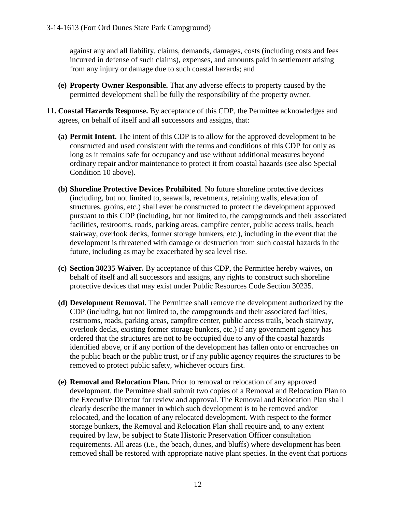against any and all liability, claims, demands, damages, costs (including costs and fees incurred in defense of such claims), expenses, and amounts paid in settlement arising from any injury or damage due to such coastal hazards; and

- **(e) Property Owner Responsible.** That any adverse effects to property caused by the permitted development shall be fully the responsibility of the property owner.
- **11. Coastal Hazards Response.** By acceptance of this CDP, the Permittee acknowledges and agrees, on behalf of itself and all successors and assigns, that:
	- **(a) Permit Intent.** The intent of this CDP is to allow for the approved development to be constructed and used consistent with the terms and conditions of this CDP for only as long as it remains safe for occupancy and use without additional measures beyond ordinary repair and/or maintenance to protect it from coastal hazards (see also Special Condition 10 above).
	- **(b) Shoreline Protective Devices Prohibited**. No future shoreline protective devices (including, but not limited to, seawalls, revetments, retaining walls, elevation of structures, groins, etc.) shall ever be constructed to protect the development approved pursuant to this CDP (including, but not limited to, the campgrounds and their associated facilities, restrooms, roads, parking areas, campfire center, public access trails, beach stairway, overlook decks, former storage bunkers, etc.), including in the event that the development is threatened with damage or destruction from such coastal hazards in the future, including as may be exacerbated by sea level rise.
	- **(c) Section 30235 Waiver.** By acceptance of this CDP, the Permittee hereby waives, on behalf of itself and all successors and assigns, any rights to construct such shoreline protective devices that may exist under Public Resources Code Section 30235.
	- **(d) Development Removal.** The Permittee shall remove the development authorized by the CDP (including, but not limited to, the campgrounds and their associated facilities, restrooms, roads, parking areas, campfire center, public access trails, beach stairway, overlook decks, existing former storage bunkers, etc.) if any government agency has ordered that the structures are not to be occupied due to any of the coastal hazards identified above, or if any portion of the development has fallen onto or encroaches on the public beach or the public trust, or if any public agency requires the structures to be removed to protect public safety, whichever occurs first.
	- **(e) Removal and Relocation Plan.** Prior to removal or relocation of any approved development, the Permittee shall submit two copies of a Removal and Relocation Plan to the Executive Director for review and approval. The Removal and Relocation Plan shall clearly describe the manner in which such development is to be removed and/or relocated, and the location of any relocated development. With respect to the former storage bunkers, the Removal and Relocation Plan shall require and, to any extent required by law, be subject to State Historic Preservation Officer consultation requirements. All areas (i.e., the beach, dunes, and bluffs) where development has been removed shall be restored with appropriate native plant species. In the event that portions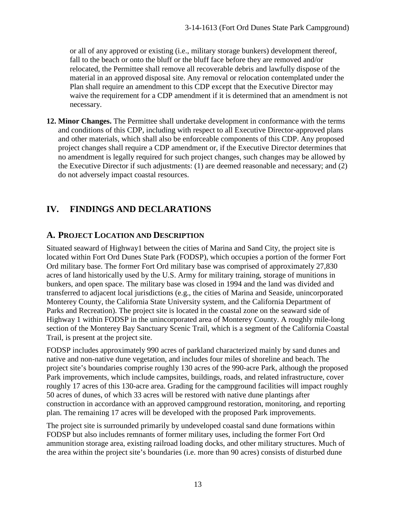or all of any approved or existing (i.e., military storage bunkers) development thereof, fall to the beach or onto the bluff or the bluff face before they are removed and/or relocated, the Permittee shall remove all recoverable debris and lawfully dispose of the material in an approved disposal site. Any removal or relocation contemplated under the Plan shall require an amendment to this CDP except that the Executive Director may waive the requirement for a CDP amendment if it is determined that an amendment is not necessary.

**12. Minor Changes.** The Permittee shall undertake development in conformance with the terms and conditions of this CDP, including with respect to all Executive Director-approved plans and other materials, which shall also be enforceable components of this CDP. Any proposed project changes shall require a CDP amendment or, if the Executive Director determines that no amendment is legally required for such project changes, such changes may be allowed by the Executive Director if such adjustments: (1) are deemed reasonable and necessary; and (2) do not adversely impact coastal resources.

# **IV. FINDINGS AND DECLARATIONS**

# **A. PROJECT LOCATION AND DESCRIPTION**

Situated seaward of Highway1 between the cities of Marina and Sand City, the project site is located within Fort Ord Dunes State Park (FODSP), which occupies a portion of the former Fort Ord military base. The former Fort Ord military base was comprised of approximately 27,830 acres of land historically used by the U.S. Army for military training, storage of munitions in bunkers, and open space. The military base was closed in 1994 and the land was divided and transferred to adjacent local jurisdictions (e.g., the cities of Marina and Seaside, unincorporated Monterey County, the California State University system, and the California Department of Parks and Recreation). The project site is located in the coastal zone on the seaward side of Highway 1 within FODSP in the unincorporated area of Monterey County. A roughly mile-long section of the Monterey Bay Sanctuary Scenic Trail, which is a segment of the California Coastal Trail, is present at the project site.

FODSP includes approximately 990 acres of parkland characterized mainly by sand dunes and native and non-native dune vegetation, and includes four miles of shoreline and beach. The project site's boundaries comprise roughly 130 acres of the 990-acre Park, although the proposed Park improvements, which include campsites, buildings, roads, and related infrastructure, cover roughly 17 acres of this 130-acre area. Grading for the campground facilities will impact roughly 50 acres of dunes, of which 33 acres will be restored with native dune plantings after construction in accordance with an approved campground restoration, monitoring, and reporting plan. The remaining 17 acres will be developed with the proposed Park improvements.

The project site is surrounded primarily by undeveloped coastal sand dune formations within FODSP but also includes remnants of former military uses, including the former Fort Ord ammunition storage area, existing railroad loading docks, and other military structures. Much of the area within the project site's boundaries (i.e. more than 90 acres) consists of disturbed dune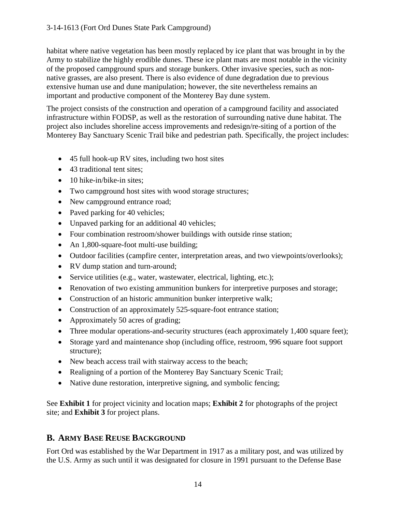habitat where native vegetation has been mostly replaced by ice plant that was brought in by the Army to stabilize the highly erodible dunes. These ice plant mats are most notable in the vicinity of the proposed campground spurs and storage bunkers. Other invasive species, such as nonnative grasses, are also present. There is also evidence of dune degradation due to previous extensive human use and dune manipulation; however, the site nevertheless remains an important and productive component of the Monterey Bay dune system.

The project consists of the construction and operation of a campground facility and associated infrastructure within FODSP, as well as the restoration of surrounding native dune habitat. The project also includes shoreline access improvements and redesign/re-siting of a portion of the Monterey Bay Sanctuary Scenic Trail bike and pedestrian path. Specifically, the project includes:

- 45 full hook-up RV sites, including two host sites
- 43 traditional tent sites;
- 10 hike-in/bike-in sites:
- Two campground host sites with wood storage structures;
- New campground entrance road;
- Paved parking for 40 vehicles;
- Unpaved parking for an additional 40 vehicles;
- Four combination restroom/shower buildings with outside rinse station;
- An 1,800-square-foot multi-use building;
- Outdoor facilities (campfire center, interpretation areas, and two viewpoints/overlooks);
- RV dump station and turn-around;
- Service utilities (e.g., water, wastewater, electrical, lighting, etc.);
- Renovation of two existing ammunition bunkers for interpretive purposes and storage;
- Construction of an historic ammunition bunker interpretive walk;
- Construction of an approximately 525-square-foot entrance station;
- Approximately 50 acres of grading;
- Three modular operations-and-security structures (each approximately 1,400 square feet);
- Storage yard and maintenance shop (including office, restroom, 996 square foot support structure);
- New beach access trail with stairway access to the beach;
- Realigning of a portion of the Monterey Bay Sanctuary Scenic Trail;
- Native dune restoration, interpretive signing, and symbolic fencing;

See **Exhibit 1** for project vicinity and location maps; **Exhibit 2** for photographs of the project site; and **Exhibit 3** for project plans.

# **B. ARMY BASE REUSE BACKGROUND**

Fort Ord was established by the War Department in 1917 as a military post, and was utilized by the U.S. Army as such until it was designated for closure in 1991 pursuant to the Defense Base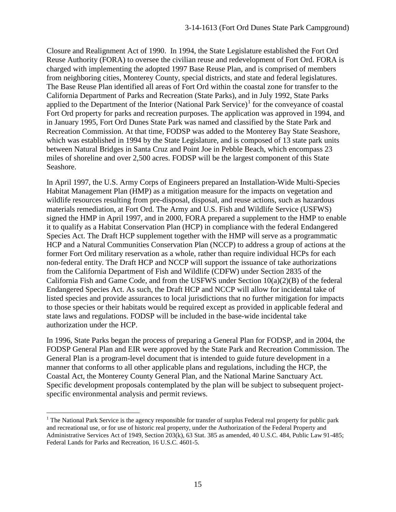Closure and Realignment Act of 1990. In 1994, the State Legislature established the Fort Ord Reuse Authority (FORA) to oversee the civilian reuse and redevelopment of Fort Ord. FORA is charged with implementing the adopted 1997 Base Reuse Plan, and is comprised of members from neighboring cities, Monterey County, special districts, and state and federal legislatures. The Base Reuse Plan identified all areas of Fort Ord within the coastal zone for transfer to the California Department of Parks and Recreation (State Parks), and in July 1992, State Parks applied to the Department of the Interior (National Park Service) $<sup>1</sup>$  $<sup>1</sup>$  $<sup>1</sup>$  for the conveyance of coastal</sup> Fort Ord property for parks and recreation purposes. The application was approved in 1994, and in January 1995, Fort Ord Dunes State Park was named and classified by the State Park and Recreation Commission. At that time, FODSP was added to the Monterey Bay State Seashore, which was established in 1994 by the State Legislature, and is composed of 13 state park units between Natural Bridges in Santa Cruz and Point Joe in Pebble Beach, which encompass 23 miles of shoreline and over 2,500 acres. FODSP will be the largest component of this State Seashore.

In April 1997, the U.S. Army Corps of Engineers prepared an Installation-Wide Multi-Species Habitat Management Plan (HMP) as a mitigation measure for the impacts on vegetation and wildlife resources resulting from pre-disposal, disposal, and reuse actions, such as hazardous materials remediation, at Fort Ord. The Army and U.S. Fish and Wildlife Service (USFWS) signed the HMP in April 1997, and in 2000, FORA prepared a supplement to the HMP to enable it to qualify as a Habitat Conservation Plan (HCP) in compliance with the federal Endangered Species Act. The Draft HCP supplement together with the HMP will serve as a programmatic HCP and a Natural Communities Conservation Plan (NCCP) to address a group of actions at the former Fort Ord military reservation as a whole, rather than require individual HCPs for each non-federal entity. The Draft HCP and NCCP will support the issuance of take authorizations from the California Department of Fish and Wildlife (CDFW) under Section 2835 of the California Fish and Game Code, and from the USFWS under Section 10(a)(2)(B) of the federal Endangered Species Act. As such, the Draft HCP and NCCP will allow for incidental take of listed species and provide assurances to local jurisdictions that no further mitigation for impacts to those species or their habitats would be required except as provided in applicable federal and state laws and regulations. FODSP will be included in the base-wide incidental take authorization under the HCP.

In 1996, State Parks began the process of preparing a General Plan for FODSP, and in 2004, the FODSP General Plan and EIR were approved by the State Park and Recreation Commission. The General Plan is a program-level document that is intended to guide future development in a manner that conforms to all other applicable plans and regulations, including the HCP, the Coastal Act, the Monterey County General Plan, and the National Marine Sanctuary Act. Specific development proposals contemplated by the plan will be subject to subsequent projectspecific environmental analysis and permit reviews.

<span id="page-14-0"></span> $\overline{a}$  $1$  The National Park Service is the agency responsible for transfer of surplus Federal real property for public park and recreational use, or for use of historic real property, under the Authorization of the Federal Property and Administrative Services Act of 1949, Section 203(k), 63 Stat. 385 as amended, 40 U.S.C. 484, Public Law 91-485; Federal Lands for Parks and Recreation, 16 U.S.C. 4601-5.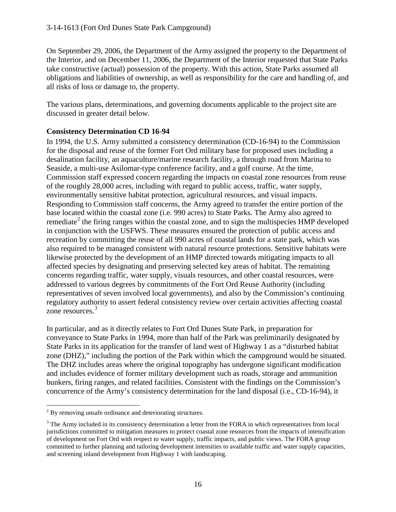On September 29, 2006, the Department of the Army assigned the property to the Department of the Interior, and on December 11, 2006, the Department of the Interior requested that State Parks take constructive (actual) possession of the property. With this action, State Parks assumed all obligations and liabilities of ownership, as well as responsibility for the care and handling of, and all risks of loss or damage to, the property.

The various plans, determinations, and governing documents applicable to the project site are discussed in greater detail below.

## **Consistency Determination CD 16-94**

In 1994, the U.S. Army submitted a consistency determination (CD-16-94) to the Commission for the disposal and reuse of the former Fort Ord military base for proposed uses including a desalination facility, an aquaculture/marine research facility, a through road from Marina to Seaside, a multi-use Asilomar-type conference facility, and a golf course. At the time, Commission staff expressed concern regarding the impacts on coastal zone resources from reuse of the roughly 28,000 acres, including with regard to public access, traffic, water supply, environmentally sensitive habitat protection, agricultural resources, and visual impacts. Responding to Commission staff concerns, the Army agreed to transfer the entire portion of the base located within the coastal zone (i.e. 990 acres) to State Parks. The Army also agreed to remediate<sup>[2](#page-15-0)</sup> the firing ranges within the coastal zone, and to sign the multispecies HMP developed in conjunction with the USFWS. These measures ensured the protection of public access and recreation by committing the reuse of all 990 acres of coastal lands for a state park, which was also required to be managed consistent with natural resource protections. Sensitive habitats were likewise protected by the development of an HMP directed towards mitigating impacts to all affected species by designating and preserving selected key areas of habitat. The remaining concerns regarding traffic, water supply, visuals resources, and other coastal resources, were addressed to various degrees by commitments of the Fort Ord Reuse Authority (including representatives of seven involved local governments), and also by the Commission's continuing regulatory authority to assert federal consistency review over certain activities affecting coastal zone resources.<sup>[3](#page-15-1)</sup>

In particular, and as it directly relates to Fort Ord Dunes State Park, in preparation for conveyance to State Parks in 1994, more than half of the Park was preliminarily designated by State Parks in its application for the transfer of land west of Highway 1 as a "disturbed habitat zone (DHZ)," including the portion of the Park within which the campground would be situated. The DHZ includes areas where the original topography has undergone significant modification and includes evidence of former military development such as roads, storage and ammunition bunkers, firing ranges, and related facilities. Consistent with the findings on the Commission's concurrence of the Army's consistency determination for the land disposal (i.e., CD-16-94), it

<span id="page-15-0"></span> $\overline{a}$  $2^{2}$  By removing unsafe ordinance and deteriorating structures.

<span id="page-15-1"></span><sup>&</sup>lt;sup>3</sup> The Army included in its consistency determination a letter from the FORA in which representatives from local jurisdictions committed to mitigation measures to protect coastal zone resources from the impacts of intensification of development on Fort Ord with respect to water supply, traffic impacts, and public views. The FORA group committed to further planning and tailoring development intensities to available traffic and water supply capacities, and screening inland development from Highway 1 with landscaping.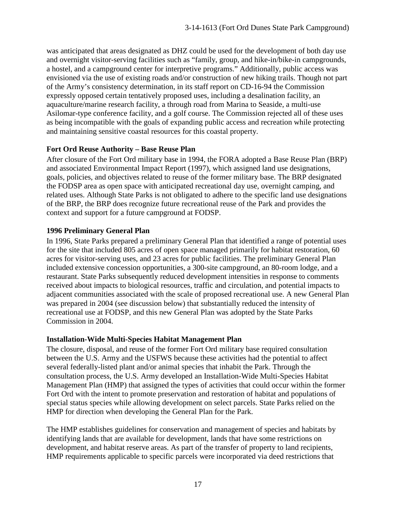was anticipated that areas designated as DHZ could be used for the development of both day use and overnight visitor-serving facilities such as "family, group, and hike-in/bike-in campgrounds, a hostel, and a campground center for interpretive programs." Additionally, public access was envisioned via the use of existing roads and/or construction of new hiking trails. Though not part of the Army's consistency determination, in its staff report on CD-16-94 the Commission expressly opposed certain tentatively proposed uses, including a desalination facility, an aquaculture/marine research facility, a through road from Marina to Seaside, a multi-use Asilomar-type conference facility, and a golf course. The Commission rejected all of these uses as being incompatible with the goals of expanding public access and recreation while protecting and maintaining sensitive coastal resources for this coastal property.

## **Fort Ord Reuse Authority – Base Reuse Plan**

After closure of the Fort Ord military base in 1994, the FORA adopted a Base Reuse Plan (BRP) and associated Environmental Impact Report (1997), which assigned land use designations, goals, policies, and objectives related to reuse of the former military base. The BRP designated the FODSP area as open space with anticipated recreational day use, overnight camping, and related uses. Although State Parks is not obligated to adhere to the specific land use designations of the BRP, the BRP does recognize future recreational reuse of the Park and provides the context and support for a future campground at FODSP.

#### **1996 Preliminary General Plan**

In 1996, State Parks prepared a preliminary General Plan that identified a range of potential uses for the site that included 805 acres of open space managed primarily for habitat restoration, 60 acres for visitor-serving uses, and 23 acres for public facilities. The preliminary General Plan included extensive concession opportunities, a 300-site campground, an 80-room lodge, and a restaurant. State Parks subsequently reduced development intensities in response to comments received about impacts to biological resources, traffic and circulation, and potential impacts to adjacent communities associated with the scale of proposed recreational use. A new General Plan was prepared in 2004 (see discussion below) that substantially reduced the intensity of recreational use at FODSP, and this new General Plan was adopted by the State Parks Commission in 2004.

#### **Installation-Wide Multi-Species Habitat Management Plan**

The closure, disposal, and reuse of the former Fort Ord military base required consultation between the U.S. Army and the USFWS because these activities had the potential to affect several federally-listed plant and/or animal species that inhabit the Park. Through the consultation process, the U.S. Army developed an Installation-Wide Multi-Species Habitat Management Plan (HMP) that assigned the types of activities that could occur within the former Fort Ord with the intent to promote preservation and restoration of habitat and populations of special status species while allowing development on select parcels. State Parks relied on the HMP for direction when developing the General Plan for the Park.

The HMP establishes guidelines for conservation and management of species and habitats by identifying lands that are available for development, lands that have some restrictions on development, and habitat reserve areas. As part of the transfer of property to land recipients, HMP requirements applicable to specific parcels were incorporated via deed restrictions that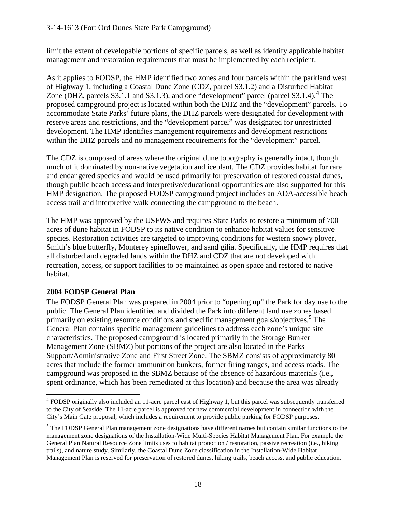limit the extent of developable portions of specific parcels, as well as identify applicable habitat management and restoration requirements that must be implemented by each recipient.

As it applies to FODSP, the HMP identified two zones and four parcels within the parkland west of Highway 1, including a Coastal Dune Zone (CDZ, parcel S3.1.2) and a Disturbed Habitat Zone (DHZ, parcels  $S3.1.1$  and  $S3.1.3$ ), and one "development" parcel (parcel  $S3.1.4$  $S3.1.4$ ).<sup>4</sup> The proposed campground project is located within both the DHZ and the "development" parcels. To accommodate State Parks' future plans, the DHZ parcels were designated for development with reserve areas and restrictions, and the "development parcel" was designated for unrestricted development. The HMP identifies management requirements and development restrictions within the DHZ parcels and no management requirements for the "development" parcel.

The CDZ is composed of areas where the original dune topography is generally intact, though much of it dominated by non-native vegetation and iceplant. The CDZ provides habitat for rare and endangered species and would be used primarily for preservation of restored coastal dunes, though public beach access and interpretive/educational opportunities are also supported for this HMP designation. The proposed FODSP campground project includes an ADA-accessible beach access trail and interpretive walk connecting the campground to the beach.

The HMP was approved by the USFWS and requires State Parks to restore a minimum of 700 acres of dune habitat in FODSP to its native condition to enhance habitat values for sensitive species. Restoration activities are targeted to improving conditions for western snowy plover, Smith's blue butterfly, Monterey spineflower, and sand gilia. Specifically, the HMP requires that all disturbed and degraded lands within the DHZ and CDZ that are not developed with recreation, access, or support facilities to be maintained as open space and restored to native habitat.

## **2004 FODSP General Plan**

The FODSP General Plan was prepared in 2004 prior to "opening up" the Park for day use to the public. The General Plan identified and divided the Park into different land use zones based primarily on existing resource conditions and specific management goals/objectives.<sup>[5](#page-17-1)</sup> The General Plan contains specific management guidelines to address each zone's unique site characteristics. The proposed campground is located primarily in the Storage Bunker Management Zone (SBMZ) but portions of the project are also located in the Parks Support/Administrative Zone and First Street Zone. The SBMZ consists of approximately 80 acres that include the former ammunition bunkers, former firing ranges, and access roads. The campground was proposed in the SBMZ because of the absence of hazardous materials (i.e., spent ordinance, which has been remediated at this location) and because the area was already

<span id="page-17-0"></span> $\overline{a}$ <sup>4</sup> FODSP originally also included an 11-acre parcel east of Highway 1, but this parcel was subsequently transferred to the City of Seaside. The 11-acre parcel is approved for new commercial development in connection with the City's Main Gate proposal, which includes a requirement to provide public parking for FODSP purposes.

<span id="page-17-1"></span><sup>&</sup>lt;sup>5</sup> The FODSP General Plan management zone designations have different names but contain similar functions to the management zone designations of the Installation-Wide Multi-Species Habitat Management Plan. For example the General Plan Natural Resource Zone limits uses to habitat protection / restoration, passive recreation (i.e., hiking trails), and nature study. Similarly, the Coastal Dune Zone classification in the Installation-Wide Habitat Management Plan is reserved for preservation of restored dunes, hiking trails, beach access, and public education.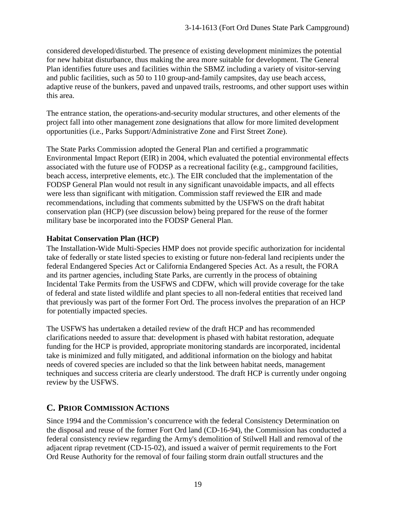considered developed/disturbed. The presence of existing development minimizes the potential for new habitat disturbance, thus making the area more suitable for development. The General Plan identifies future uses and facilities within the SBMZ including a variety of visitor-serving and public facilities, such as 50 to 110 group-and-family campsites, day use beach access, adaptive reuse of the bunkers, paved and unpaved trails, restrooms, and other support uses within this area.

The entrance station, the operations-and-security modular structures, and other elements of the project fall into other management zone designations that allow for more limited development opportunities (i.e., Parks Support/Administrative Zone and First Street Zone).

The State Parks Commission adopted the General Plan and certified a programmatic Environmental Impact Report (EIR) in 2004, which evaluated the potential environmental effects associated with the future use of FODSP as a recreational facility (e.g., campground facilities, beach access, interpretive elements, etc.). The EIR concluded that the implementation of the FODSP General Plan would not result in any significant unavoidable impacts, and all effects were less than significant with mitigation. Commission staff reviewed the EIR and made recommendations, including that comments submitted by the USFWS on the draft habitat conservation plan (HCP) (see discussion below) being prepared for the reuse of the former military base be incorporated into the FODSP General Plan.

## **Habitat Conservation Plan (HCP)**

The Installation-Wide Multi-Species HMP does not provide specific authorization for incidental take of federally or state listed species to existing or future non-federal land recipients under the federal Endangered Species Act or California Endangered Species Act. As a result, the FORA and its partner agencies, including State Parks, are currently in the process of obtaining Incidental Take Permits from the USFWS and CDFW, which will provide coverage for the take of federal and state listed wildlife and plant species to all non-federal entities that received land that previously was part of the former Fort Ord. The process involves the preparation of an HCP for potentially impacted species.

The USFWS has undertaken a detailed review of the draft HCP and has recommended clarifications needed to assure that: development is phased with habitat restoration, adequate funding for the HCP is provided, appropriate monitoring standards are incorporated, incidental take is minimized and fully mitigated, and additional information on the biology and habitat needs of covered species are included so that the link between habitat needs, management techniques and success criteria are clearly understood. The draft HCP is currently under ongoing review by the USFWS.

# **C. PRIOR COMMISSION ACTIONS**

Since 1994 and the Commission's concurrence with the federal Consistency Determination on the disposal and reuse of the former Fort Ord land (CD-16-94), the Commission has conducted a federal consistency review regarding the Army's demolition of Stilwell Hall and removal of the adjacent riprap revetment (CD-15-02), and issued a waiver of permit requirements to the Fort Ord Reuse Authority for the removal of four failing storm drain outfall structures and the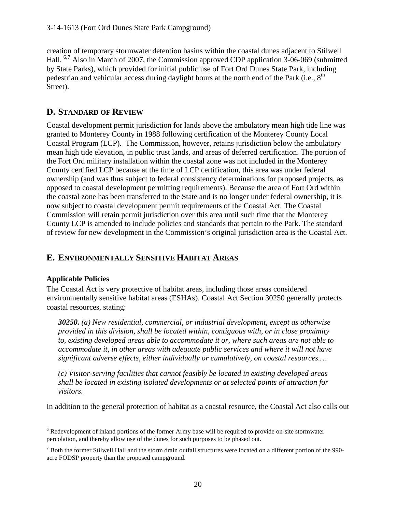creation of temporary stormwater detention basins within the coastal dunes adjacent to Stilwell Hall. <sup>[6](#page-19-0),[7](#page-19-1)</sup> Also in March of 2007, the Commission approved CDP application 3-06-069 (submitted by State Parks), which provided for initial public use of Fort Ord Dunes State Park, including pedestrian and vehicular access during daylight hours at the north end of the Park (i.e.,  $8<sup>th</sup>$ Street).

# **D. STANDARD OF REVIEW**

Coastal development permit jurisdiction for lands above the ambulatory mean high tide line was granted to Monterey County in 1988 following certification of the Monterey County Local Coastal Program (LCP). The Commission, however, retains jurisdiction below the ambulatory mean high tide elevation, in public trust lands, and areas of deferred certification. The portion of the Fort Ord military installation within the coastal zone was not included in the Monterey County certified LCP because at the time of LCP certification, this area was under federal ownership (and was thus subject to federal consistency determinations for proposed projects, as opposed to coastal development permitting requirements). Because the area of Fort Ord within the coastal zone has been transferred to the State and is no longer under federal ownership, it is now subject to coastal development permit requirements of the Coastal Act. The Coastal Commission will retain permit jurisdiction over this area until such time that the Monterey County LCP is amended to include policies and standards that pertain to the Park. The standard of review for new development in the Commission's original jurisdiction area is the Coastal Act.

# **E. ENVIRONMENTALLY SENSITIVE HABITAT AREAS**

## **Applicable Policies**

The Coastal Act is very protective of habitat areas, including those areas considered environmentally sensitive habitat areas (ESHAs). Coastal Act Section 30250 generally protects coastal resources, stating:

*30250. (a) New residential, commercial, or industrial development, except as otherwise provided in this division, shall be located within, contiguous with, or in close proximity to, existing developed areas able to accommodate it or, where such areas are not able to accommodate it, in other areas with adequate public services and where it will not have significant adverse effects, either individually or cumulatively, on coastal resources.…* 

*(c) Visitor-serving facilities that cannot feasibly be located in existing developed areas shall be located in existing isolated developments or at selected points of attraction for visitors.*

In addition to the general protection of habitat as a coastal resource, the Coastal Act also calls out

<span id="page-19-0"></span> $\overline{a}$ <sup>6</sup> Redevelopment of inland portions of the former Army base will be required to provide on-site stormwater percolation, and thereby allow use of the dunes for such purposes to be phased out.

<span id="page-19-1"></span> $<sup>7</sup>$  Both the former Stilwell Hall and the storm drain outfall structures were located on a different portion of the 990-</sup> acre FODSP property than the proposed campground.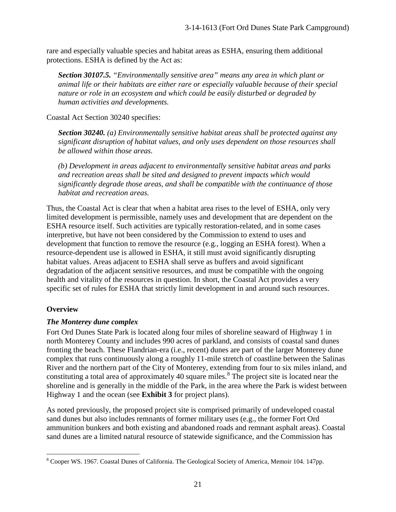rare and especially valuable species and habitat areas as ESHA, ensuring them additional protections. ESHA is defined by the Act as:

*Section 30107.5. "Environmentally sensitive area" means any area in which plant or animal life or their habitats are either rare or especially valuable because of their special nature or role in an ecosystem and which could be easily disturbed or degraded by human activities and developments.* 

Coastal Act Section 30240 specifies:

*Section 30240. (a) Environmentally sensitive habitat areas shall be protected against any significant disruption of habitat values, and only uses dependent on those resources shall be allowed within those areas.* 

*(b) Development in areas adjacent to environmentally sensitive habitat areas and parks and recreation areas shall be sited and designed to prevent impacts which would significantly degrade those areas, and shall be compatible with the continuance of those habitat and recreation areas.* 

Thus, the Coastal Act is clear that when a habitat area rises to the level of ESHA, only very limited development is permissible, namely uses and development that are dependent on the ESHA resource itself. Such activities are typically restoration-related, and in some cases interpretive, but have not been considered by the Commission to extend to uses and development that function to remove the resource (e.g., logging an ESHA forest). When a resource-dependent use is allowed in ESHA, it still must avoid significantly disrupting habitat values. Areas adjacent to ESHA shall serve as buffers and avoid significant degradation of the adjacent sensitive resources, and must be compatible with the ongoing health and vitality of the resources in question. In short, the Coastal Act provides a very specific set of rules for ESHA that strictly limit development in and around such resources.

## **Overview**

## *The Monterey dune complex*

Fort Ord Dunes State Park is located along four miles of shoreline seaward of Highway 1 in north Monterey County and includes 990 acres of parkland, and consists of coastal sand dunes fronting the beach. These Flandrian-era (i.e., recent) dunes are part of the larger Monterey dune complex that runs continuously along a roughly 11-mile stretch of coastline between the Salinas River and the northern part of the City of Monterey, extending from four to six miles inland, and constituting a total area of approximately 40 square miles. [8](#page-20-0) The project site is located near the shoreline and is generally in the middle of the Park, in the area where the Park is widest between Highway 1 and the ocean (see **Exhibit 3** for project plans).

As noted previously, the proposed project site is comprised primarily of undeveloped coastal sand dunes but also includes remnants of former military uses (e.g., the former Fort Ord ammunition bunkers and both existing and abandoned roads and remnant asphalt areas). Coastal sand dunes are a limited natural resource of statewide significance, and the Commission has

<span id="page-20-0"></span> $\overline{a}$ <sup>8</sup> Cooper WS. 1967. Coastal Dunes of California. The Geological Society of America, Memoir 104. 147pp.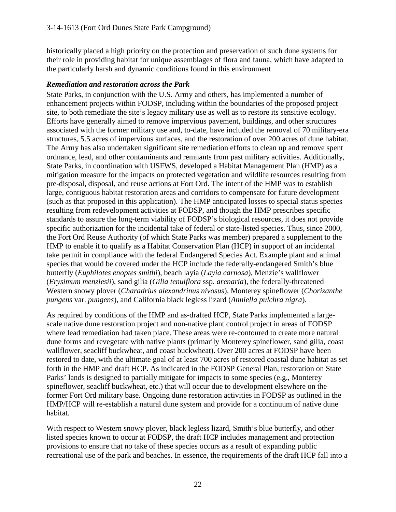historically placed a high priority on the protection and preservation of such dune systems for their role in providing habitat for unique assemblages of flora and fauna, which have adapted to the particularly harsh and dynamic conditions found in this environment

## *Remediation and restoration across the Park*

State Parks, in conjunction with the U.S. Army and others, has implemented a number of enhancement projects within FODSP, including within the boundaries of the proposed project site, to both remediate the site's legacy military use as well as to restore its sensitive ecology. Efforts have generally aimed to remove impervious pavement, buildings, and other structures associated with the former military use and, to-date, have included the removal of 70 military-era structures, 5.5 acres of impervious surfaces, and the restoration of over 200 acres of dune habitat. The Army has also undertaken significant site remediation efforts to clean up and remove spent ordnance, lead, and other contaminants and remnants from past military activities. Additionally, State Parks, in coordination with USFWS, developed a Habitat Management Plan (HMP) as a mitigation measure for the impacts on protected vegetation and wildlife resources resulting from pre-disposal, disposal, and reuse actions at Fort Ord. The intent of the HMP was to establish large, contiguous habitat restoration areas and corridors to compensate for future development (such as that proposed in this application). The HMP anticipated losses to special status species resulting from redevelopment activities at FODSP, and though the HMP prescribes specific standards to assure the long-term viability of FODSP's biological resources, it does not provide specific authorization for the incidental take of federal or state-listed species. Thus, since 2000, the Fort Ord Reuse Authority (of which State Parks was member) prepared a supplement to the HMP to enable it to qualify as a Habitat Conservation Plan (HCP) in support of an incidental take permit in compliance with the federal Endangered Species Act. Example plant and animal species that would be covered under the HCP include the federally-endangered Smith's blue butterfly (*Euphilotes enoptes smithi*), beach layia (*Layia carnosa*), Menzie's wallflower (*Erysimum menziesii*), sand gilia (*Gilia tenuiflora* ssp. *arenaria*), the federally-threatened Western snowy plover (*Charadrius alexandrinus nivosus*), Monterey spineflower (*Chorizanthe pungens* var. *pungens*), and California black legless lizard (*Anniella pulchra nigra*).

As required by conditions of the HMP and as-drafted HCP, State Parks implemented a largescale native dune restoration project and non-native plant control project in areas of FODSP where lead remediation had taken place. These areas were re-contoured to create more natural dune forms and revegetate with native plants (primarily Monterey spineflower, sand gilia, coast wallflower, seacliff buckwheat, and coast buckwheat). Over 200 acres at FODSP have been restored to date, with the ultimate goal of at least 700 acres of restored coastal dune habitat as set forth in the HMP and draft HCP. As indicated in the FODSP General Plan, restoration on State Parks' lands is designed to partially mitigate for impacts to some species (e.g., Monterey spineflower, seacliff buckwheat, etc.) that will occur due to development elsewhere on the former Fort Ord military base. Ongoing dune restoration activities in FODSP as outlined in the HMP/HCP will re-establish a natural dune system and provide for a continuum of native dune habitat.

With respect to Western snowy plover, black legless lizard, Smith's blue butterfly, and other listed species known to occur at FODSP, the draft HCP includes management and protection provisions to ensure that no take of these species occurs as a result of expanding public recreational use of the park and beaches. In essence, the requirements of the draft HCP fall into a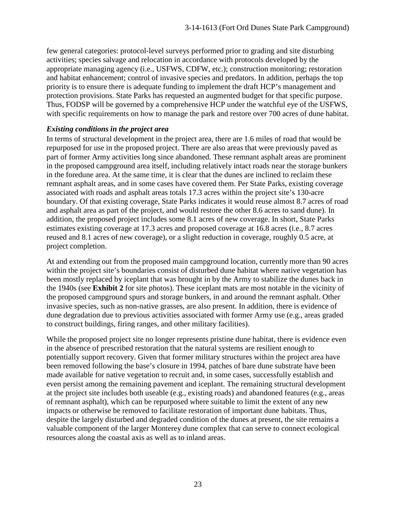few general categories: protocol-level surveys performed prior to grading and site disturbing activities; species salvage and relocation in accordance with protocols developed by the appropriate managing agency (i.e., USFWS, CDFW, etc.); construction monitoring; restoration and habitat enhancement; control of invasive species and predators. In addition, perhaps the top priority is to ensure there is adequate funding to implement the draft HCP's management and protection provisions. State Parks has requested an augmented budget for that specific purpose. Thus, FODSP will be governed by a comprehensive HCP under the watchful eye of the USFWS, with specific requirements on how to manage the park and restore over 700 acres of dune habitat.

#### *Existing conditions in the project area*

In terms of structural development in the project area, there are 1.6 miles of road that would be repurposed for use in the proposed project. There are also areas that were previously paved as part of former Army activities long since abandoned. These remnant asphalt areas are prominent in the proposed campground area itself, including relatively intact roads near the storage bunkers in the foredune area. At the same time, it is clear that the dunes are inclined to reclaim these remnant asphalt areas, and in some cases have covered them. Per State Parks, existing coverage associated with roads and asphalt areas totals 17.3 acres within the project site's 130-acre boundary. Of that existing coverage, State Parks indicates it would reuse almost 8.7 acres of road and asphalt area as part of the project, and would restore the other 8.6 acres to sand dune). In addition, the proposed project includes some 8.1 acres of new coverage. In short, State Parks estimates existing coverage at 17.3 acres and proposed coverage at 16.8 acres (i.e., 8.7 acres reused and 8.1 acres of new coverage), or a slight reduction in coverage, roughly 0.5 acre, at project completion.

At and extending out from the proposed main campground location, currently more than 90 acres within the project site's boundaries consist of disturbed dune habitat where native vegetation has been mostly replaced by iceplant that was brought in by the Army to stabilize the dunes back in the 1940s (see **Exhibit 2** for site photos). These iceplant mats are most notable in the vicinity of the proposed campground spurs and storage bunkers, in and around the remnant asphalt. Other invasive species, such as non-native grasses, are also present. In addition, there is evidence of dune degradation due to previous activities associated with former Army use (e.g., areas graded to construct buildings, firing ranges, and other military facilities).

While the proposed project site no longer represents pristine dune habitat, there is evidence even in the absence of prescribed restoration that the natural systems are resilient enough to potentially support recovery. Given that former military structures within the project area have been removed following the base's closure in 1994, patches of bare dune substrate have been made available for native vegetation to recruit and, in some cases, successfully establish and even persist among the remaining pavement and iceplant. The remaining structural development at the project site includes both useable (e.g., existing roads) and abandoned features (e.g., areas of remnant asphalt), which can be repurposed where suitable to limit the extent of any new impacts or otherwise be removed to facilitate restoration of important dune habitats. Thus, despite the largely disturbed and degraded condition of the dunes at present, the site remains a valuable component of the larger Monterey dune complex that can serve to connect ecological resources along the coastal axis as well as to inland areas.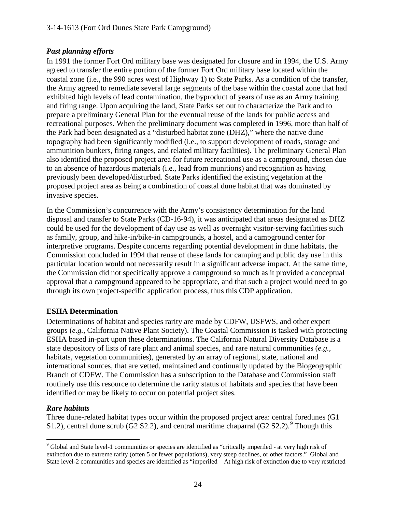## *Past planning efforts*

In 1991 the former Fort Ord military base was designated for closure and in 1994, the U.S. Army agreed to transfer the entire portion of the former Fort Ord military base located within the coastal zone (i.e., the 990 acres west of Highway 1) to State Parks. As a condition of the transfer, the Army agreed to remediate several large segments of the base within the coastal zone that had exhibited high levels of lead contamination, the byproduct of years of use as an Army training and firing range. Upon acquiring the land, State Parks set out to characterize the Park and to prepare a preliminary General Plan for the eventual reuse of the lands for public access and recreational purposes. When the preliminary document was completed in 1996, more than half of the Park had been designated as a "disturbed habitat zone (DHZ)," where the native dune topography had been significantly modified (i.e., to support development of roads, storage and ammunition bunkers, firing ranges, and related military facilities). The preliminary General Plan also identified the proposed project area for future recreational use as a campground, chosen due to an absence of hazardous materials (i.e., lead from munitions) and recognition as having previously been developed/disturbed. State Parks identified the existing vegetation at the proposed project area as being a combination of coastal dune habitat that was dominated by invasive species.

In the Commission's concurrence with the Army's consistency determination for the land disposal and transfer to State Parks (CD-16-94), it was anticipated that areas designated as DHZ could be used for the development of day use as well as overnight visitor-serving facilities such as family, group, and hike-in/bike-in campgrounds, a hostel, and a campground center for interpretive programs. Despite concerns regarding potential development in dune habitats, the Commission concluded in 1994 that reuse of these lands for camping and public day use in this particular location would not necessarily result in a significant adverse impact. At the same time, the Commission did not specifically approve a campground so much as it provided a conceptual approval that a campground appeared to be appropriate, and that such a project would need to go through its own project-specific application process, thus this CDP application.

## **ESHA Determination**

Determinations of habitat and species rarity are made by CDFW, USFWS, and other expert groups (*e.g.*, California Native Plant Society). The Coastal Commission is tasked with protecting ESHA based in-part upon these determinations. The California Natural Diversity Database is a state depository of lists of rare plant and animal species, and rare natural communities (*e.g.*, habitats, vegetation communities), generated by an array of regional, state, national and international sources, that are vetted, maintained and continually updated by the Biogeographic Branch of CDFW. The Commission has a subscription to the Database and Commission staff routinely use this resource to determine the rarity status of habitats and species that have been identified or may be likely to occur on potential project sites.

## *Rare habitats*

Three dune-related habitat types occur within the proposed project area: central foredunes (G1 S1.2), central dune scrub ( $G2$  S2.2), and central maritime chaparral ( $G2$  S2.2).<sup>[9](#page-23-0)</sup> Though this

<span id="page-23-0"></span> $\overline{a}$ <sup>9</sup> Global and State level-1 communities or species are identified as "critically imperiled - at very high risk of extinction due to extreme rarity (often 5 or fewer populations), very steep declines, or other factors." Global and State level-2 communities and species are identified as "imperiled – At high risk of extinction due to very restricted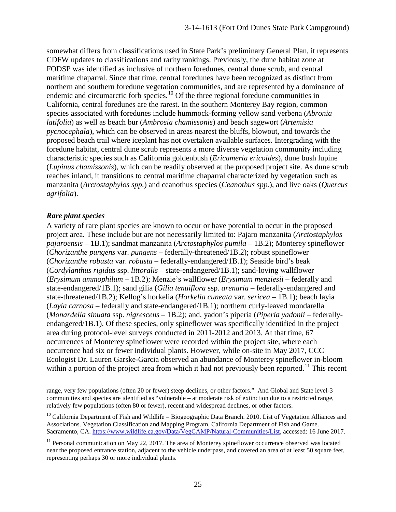somewhat differs from classifications used in State Park's preliminary General Plan, it represents CDFW updates to classifications and rarity rankings. Previously, the dune habitat zone at FODSP was identified as inclusive of northern foredunes, central dune scrub, and central maritime chaparral. Since that time, central foredunes have been recognized as distinct from northern and southern foredune vegetation communities, and are represented by a dominance of endemic and circumarctic forb species.<sup>[10](#page-24-0)</sup> Of the three regional foredune communities in California, central foredunes are the rarest. In the southern Monterey Bay region, common species associated with foredunes include hummock-forming yellow sand verbena (*Abronia latifolia*) as well as beach bur (*Ambrosia chamissonis*) and beach sagewort (*Artemisia pycnocephala*), which can be observed in areas nearest the bluffs, blowout, and towards the proposed beach trail where iceplant has not overtaken available surfaces. Intergrading with the foredune habitat, central dune scrub represents a more diverse vegetation community including characteristic species such as California goldenbush (*Ericameria ericoides*), dune bush lupine (*Lupinus chamissonis*), which can be readily observed at the proposed project site. As dune scrub reaches inland, it transitions to central maritime chaparral characterized by vegetation such as manzanita (*Arctostaphylos spp.*) and ceanothus species (*Ceanothus spp.*), and live oaks (*Quercus agrifolia*).

#### *Rare plant species*

 $\overline{a}$ 

A variety of rare plant species are known to occur or have potential to occur in the proposed project area. These include but are not necessarily limited to: Pajaro manzanita (*Arctostaphylos pajaroensis* – 1B.1); sandmat manzanita (*Arctostaphylos pumila* – 1B.2); Monterey spineflower (*Chorizanthe pungens* var. *pungens –* federally-threatened/1B.2); robust spineflower (*Chorizanthe robusta* var. *robusta* – federally-endangered/1B.1); Seaside bird's beak (*Cordylanthus rigidus* ssp. *littoralis* – state-endangered/1B.1); sand-loving wallflower (*Erysimum ammophilum* – 1B.2); Menzie's wallflower (*Erysimum menziesii* – federally and state-endangered/1B.1); sand gilia (*Gilia tenuiflora* ssp. *arenaria* – federally-endangered and state-threatened/1B.2); Kellog's horkelia (*Horkelia cuneata* var. *sericea* – 1B.1); beach layia (*Layia carnosa* – federally and state-endangered/1B.1); northern curly-leaved mondarella (*Monardella sinuata* ssp. *nigrescens* – 1B.2); and, yadon's piperia (*Piperia yadonii* – federallyendangered/1B.1). Of these species, only spineflower was specifically identified in the project area during protocol-level surveys conducted in 2011-2012 and 2013. At that time, 67 occurrences of Monterey spineflower were recorded within the project site, where each occurrence had six or fewer individual plants. However, while on-site in May 2017, CCC Ecologist Dr. Lauren Garske-Garcia observed an abundance of Monterey spineflower in-bloom within a portion of the project area from which it had not previously been reported.<sup>[11](#page-24-1)</sup> This recent

range, very few populations (often 20 or fewer) steep declines, or other factors." And Global and State level-3 communities and species are identified as "vulnerable – at moderate risk of extinction due to a restricted range, relatively few populations (often 80 or fewer), recent and widespread declines, or other factors.

<span id="page-24-0"></span> $10$  California Department of Fish and Wildlife – Biogeographic Data Branch. 2010. List of Vegetation Alliances and Associations. Vegetation Classification and Mapping Program, California Department of Fish and Game. Sacramento, CA. [https://www.wildlife.ca.gov/Data/VegCAMP/Natural-Communities/List,](https://www.wildlife.ca.gov/Data/VegCAMP/Natural-Communities/List) accessed: 16 June 2017.

<span id="page-24-1"></span><sup>11</sup> Personal communication on May 22, 2017. The area of Monterey spineflower occurrence observed was located near the proposed entrance station, adjacent to the vehicle underpass, and covered an area of at least 50 square feet, representing perhaps 30 or more individual plants.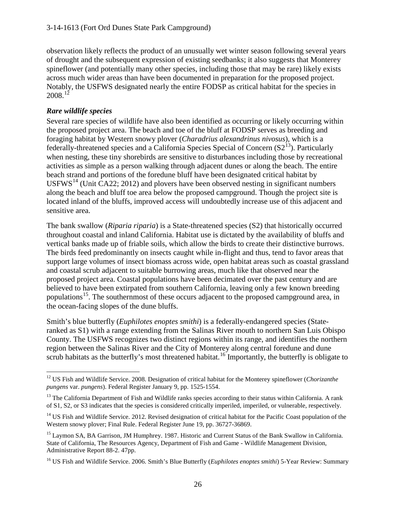observation likely reflects the product of an unusually wet winter season following several years of drought and the subsequent expression of existing seedbanks; it also suggests that Monterey spineflower (and potentially many other species, including those that may be rare) likely exists across much wider areas than have been documented in preparation for the proposed project. Notably, the USFWS designated nearly the entire FODSP as critical habitat for the species in  $2008.<sup>12</sup>$ 

## *Rare wildlife species*

Several rare species of wildlife have also been identified as occurring or likely occurring within the proposed project area. The beach and toe of the bluff at FODSP serves as breeding and foraging habitat by Western snowy plover (*Charadrius alexandrinus nivosus*), which is a federally-threatened species and a California Species Special of Concern  $(S2<sup>13</sup>)$ . Particularly when nesting, these tiny shorebirds are sensitive to disturbances including those by recreational activities as simple as a person walking through adjacent dunes or along the beach. The entire beach strand and portions of the foredune bluff have been designated critical habitat by USFWS<sup>14</sup> (Unit CA22; 2012) and plovers have been observed nesting in significant numbers along the beach and bluff toe area below the proposed campground. Though the project site is located inland of the bluffs, improved access will undoubtedly increase use of this adjacent and sensitive area.

The bank swallow (*Riparia riparia*) is a State-threatened species (S2) that historically occurred throughout coastal and inland California. Habitat use is dictated by the availability of bluffs and vertical banks made up of friable soils, which allow the birds to create their distinctive burrows. The birds feed predominantly on insects caught while in-flight and thus, tend to favor areas that support large volumes of insect biomass across wide, open habitat areas such as coastal grassland and coastal scrub adjacent to suitable burrowing areas, much like that observed near the proposed project area. Coastal populations have been decimated over the past century and are believed to have been extirpated from southern California, leaving only a few known breeding populations<sup>15</sup>. The southernmost of these occurs adjacent to the proposed campground area, in the ocean-facing slopes of the dune bluffs.

Smith's blue butterfly (*Euphilotes enoptes smithi*) is a federally-endangered species (Stateranked as S1) with a range extending from the Salinas River mouth to northern San Luis Obispo County. The USFWS recognizes two distinct regions within its range, and identifies the northern region between the Salinas River and the City of Monterey along central foredune and dune scrub habitats as the butterfly's most threatened habitat.<sup>[16](#page-25-4)</sup> Importantly, the butterfly is obligate to

<span id="page-25-0"></span> $\overline{a}$ <sup>12</sup> US Fish and Wildlife Service. 2008. Designation of critical habitat for the Monterey spineflower (*Chorizanthe pungens* var. *pungens*). Federal Register January 9, pp. 1525-1554.

<span id="page-25-1"></span> $13$  The California Department of Fish and Wildlife ranks species according to their status within California. A rank of S1, S2, or S3 indicates that the species is considered critically imperiled, imperiled, or vulnerable, respectively.

<span id="page-25-2"></span><sup>&</sup>lt;sup>14</sup> US Fish and Wildlife Service. 2012. Revised designation of critical habitat for the Pacific Coast population of the Western snowy plover; Final Rule. Federal Register June 19, pp. 36727-36869.

<span id="page-25-3"></span><sup>&</sup>lt;sup>15</sup> Laymon SA, BA Garrison, JM Humphrey. 1987. Historic and Current Status of the Bank Swallow in California. State of California, The Resources Agency, Department of Fish and Game - Wildlife Management Division, Administrative Report 88-2. 47pp.

<span id="page-25-4"></span><sup>16</sup> US Fish and Wildlife Service. 2006. Smith's Blue Butterfly (*Euphilotes enoptes smithi*) 5-Year Review: Summary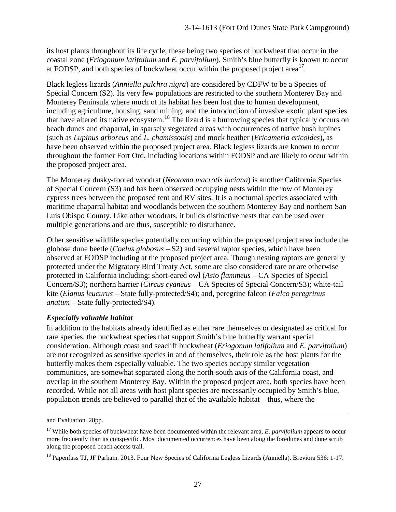its host plants throughout its life cycle, these being two species of buckwheat that occur in the coastal zone (*Eriogonum latifolium* and *E. parvifolium*). Smith's blue butterfly is known to occur at FODSP, and both species of buckwheat occur within the proposed project area<sup>[17](#page-26-0)</sup>.

Black legless lizards (*Anniella pulchra nigra*) are considered by CDFW to be a Species of Special Concern (S2). Its very few populations are restricted to the southern Monterey Bay and Monterey Peninsula where much of its habitat has been lost due to human development, including agriculture, housing, sand mining, and the introduction of invasive exotic plant species that have altered its native ecosystem.<sup>[18](#page-26-1)</sup> The lizard is a burrowing species that typically occurs on beach dunes and chaparral, in sparsely vegetated areas with occurrences of native bush lupines (such as *Lupinus arboreus* and *L. chamissonis*) and mock heather (*Ericameria ericoides*), as have been observed within the proposed project area. Black legless lizards are known to occur throughout the former Fort Ord, including locations within FODSP and are likely to occur within the proposed project area.

The Monterey dusky-footed woodrat (*Neotoma macrotis luciana*) is another California Species of Special Concern (S3) and has been observed occupying nests within the row of Monterey cypress trees between the proposed tent and RV sites. It is a nocturnal species associated with maritime chaparral habitat and woodlands between the southern Monterey Bay and northern San Luis Obispo County. Like other woodrats, it builds distinctive nests that can be used over multiple generations and are thus, susceptible to disturbance.

Other sensitive wildlife species potentially occurring within the proposed project area include the globose dune beetle (*Coelus globosus* – S2) and several raptor species, which have been observed at FODSP including at the proposed project area. Though nesting raptors are generally protected under the Migratory Bird Treaty Act, some are also considered rare or are otherwise protected in California including: short-eared owl (*Asio flammeus* – CA Species of Special Concern/S3); northern harrier (*Circus cyaneus* – CA Species of Special Concern/S3); white-tail kite (*Elanus leucurus –* State fully-protected/S4); and, peregrine falcon (*Falco peregrinus anatum* – State fully-protected/S4).

## *Especially valuable habitat*

In addition to the habitats already identified as either rare themselves or designated as critical for rare species, the buckwheat species that support Smith's blue butterfly warrant special consideration. Although coast and seacliff buckwheat (*Eriogonum latifolium* and *E. parvifolium*) are not recognized as sensitive species in and of themselves, their role as the host plants for the butterfly makes them especially valuable. The two species occupy similar vegetation communities, are somewhat separated along the north-south axis of the California coast, and overlap in the southern Monterey Bay. Within the proposed project area, both species have been recorded. While not all areas with host plant species are necessarily occupied by Smith's blue, population trends are believed to parallel that of the available habitat – thus, where the

 $\overline{a}$ 

and Evaluation. 28pp.

<span id="page-26-0"></span><sup>&</sup>lt;sup>17</sup> While both species of buckwheat have been documented within the relevant area, *E. parvifolium* appears to occur more frequently than its conspecific. Most documented occurrences have been along the foredunes and dune scrub along the proposed beach access trail.

<span id="page-26-1"></span><sup>&</sup>lt;sup>18</sup> Papenfuss TJ, JF Parham. 2013. Four New Species of California Legless Lizards (Anniella). Breviora 536: 1-17.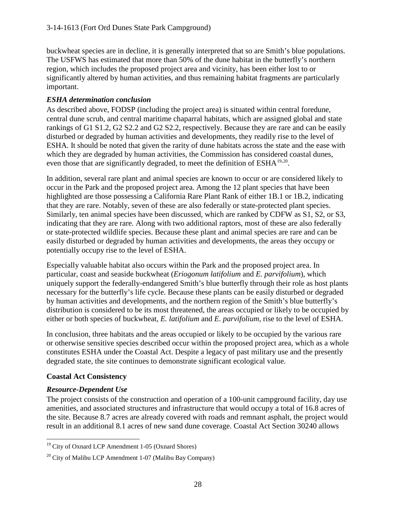buckwheat species are in decline, it is generally interpreted that so are Smith's blue populations. The USFWS has estimated that more than 50% of the dune habitat in the butterfly's northern region, which includes the proposed project area and vicinity, has been either lost to or significantly altered by human activities, and thus remaining habitat fragments are particularly important.

## *ESHA determination conclusion*

As described above, FODSP (including the project area) is situated within central foredune, central dune scrub, and central maritime chaparral habitats, which are assigned global and state rankings of G1 S1.2, G2 S2.2 and G2 S2.2, respectively. Because they are rare and can be easily disturbed or degraded by human activities and developments, they readily rise to the level of ESHA. It should be noted that given the rarity of dune habitats across the state and the ease with which they are degraded by human activities, the Commission has considered coastal dunes, even those that are significantly degraded, to meet the definition of ESHA<sup>[19](#page-27-0),20</sup>.

In addition, several rare plant and animal species are known to occur or are considered likely to occur in the Park and the proposed project area. Among the 12 plant species that have been highlighted are those possessing a California Rare Plant Rank of either 1B.1 or 1B.2, indicating that they are rare. Notably, seven of these are also federally or state-protected plant species. Similarly, ten animal species have been discussed, which are ranked by CDFW as S1, S2, or S3, indicating that they are rare. Along with two additional raptors, most of these are also federally or state-protected wildlife species. Because these plant and animal species are rare and can be easily disturbed or degraded by human activities and developments, the areas they occupy or potentially occupy rise to the level of ESHA.

Especially valuable habitat also occurs within the Park and the proposed project area. In particular, coast and seaside buckwheat (*Eriogonum latifolium* and *E. parvifolium*), which uniquely support the federally-endangered Smith's blue butterfly through their role as host plants necessary for the butterfly's life cycle. Because these plants can be easily disturbed or degraded by human activities and developments, and the northern region of the Smith's blue butterfly's distribution is considered to be its most threatened, the areas occupied or likely to be occupied by either or both species of buckwheat, *E. latifolium* and *E. parvifolium*, rise to the level of ESHA.

In conclusion, three habitats and the areas occupied or likely to be occupied by the various rare or otherwise sensitive species described occur within the proposed project area, which as a whole constitutes ESHA under the Coastal Act. Despite a legacy of past military use and the presently degraded state, the site continues to demonstrate significant ecological value.

## **Coastal Act Consistency**

## *Resource-Dependent Use*

The project consists of the construction and operation of a 100-unit campground facility, day use amenities, and associated structures and infrastructure that would occupy a total of 16.8 acres of the site. Because 8.7 acres are already covered with roads and remnant asphalt, the project would result in an additional 8.1 acres of new sand dune coverage. Coastal Act Section 30240 allows

<span id="page-27-0"></span> $\overline{a}$ <sup>19</sup> City of Oxnard LCP Amendment 1-05 (Oxnard Shores)

<span id="page-27-1"></span> $20$  City of Malibu LCP Amendment 1-07 (Malibu Bay Company)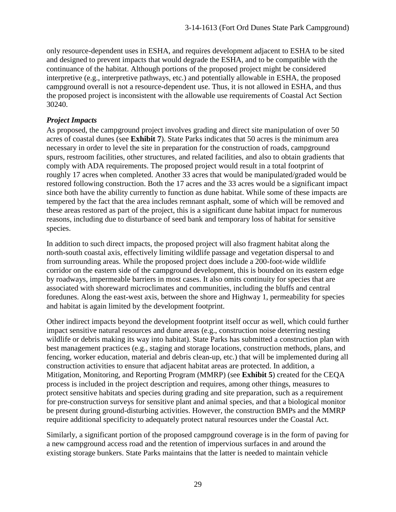only resource-dependent uses in ESHA, and requires development adjacent to ESHA to be sited and designed to prevent impacts that would degrade the ESHA, and to be compatible with the continuance of the habitat. Although portions of the proposed project might be considered interpretive (e.g., interpretive pathways, etc.) and potentially allowable in ESHA, the proposed campground overall is not a resource-dependent use. Thus, it is not allowed in ESHA, and thus the proposed project is inconsistent with the allowable use requirements of Coastal Act Section 30240.

## *Project Impacts*

As proposed, the campground project involves grading and direct site manipulation of over 50 acres of coastal dunes (see **Exhibit 7**). State Parks indicates that 50 acres is the minimum area necessary in order to level the site in preparation for the construction of roads, campground spurs, restroom facilities, other structures, and related facilities, and also to obtain gradients that comply with ADA requirements. The proposed project would result in a total footprint of roughly 17 acres when completed. Another 33 acres that would be manipulated/graded would be restored following construction. Both the 17 acres and the 33 acres would be a significant impact since both have the ability currently to function as dune habitat. While some of these impacts are tempered by the fact that the area includes remnant asphalt, some of which will be removed and these areas restored as part of the project, this is a significant dune habitat impact for numerous reasons, including due to disturbance of seed bank and temporary loss of habitat for sensitive species.

In addition to such direct impacts, the proposed project will also fragment habitat along the north-south coastal axis, effectively limiting wildlife passage and vegetation dispersal to and from surrounding areas. While the proposed project does include a 200-foot-wide wildlife corridor on the eastern side of the campground development, this is bounded on its eastern edge by roadways, impermeable barriers in most cases. It also omits continuity for species that are associated with shoreward microclimates and communities, including the bluffs and central foredunes. Along the east-west axis, between the shore and Highway 1, permeability for species and habitat is again limited by the development footprint.

Other indirect impacts beyond the development footprint itself occur as well, which could further impact sensitive natural resources and dune areas (e.g., construction noise deterring nesting wildlife or debris making its way into habitat). State Parks has submitted a construction plan with best management practices (e.g., staging and storage locations, construction methods, plans, and fencing, worker education, material and debris clean-up, etc.) that will be implemented during all construction activities to ensure that adjacent habitat areas are protected. In addition, a Mitigation, Monitoring, and Reporting Program (MMRP) (see **Exhibit 5**) created for the CEQA process is included in the project description and requires, among other things, measures to protect sensitive habitats and species during grading and site preparation, such as a requirement for pre-construction surveys for sensitive plant and animal species, and that a biological monitor be present during ground-disturbing activities. However, the construction BMPs and the MMRP require additional specificity to adequately protect natural resources under the Coastal Act.

Similarly, a significant portion of the proposed campground coverage is in the form of paving for a new campground access road and the retention of impervious surfaces in and around the existing storage bunkers. State Parks maintains that the latter is needed to maintain vehicle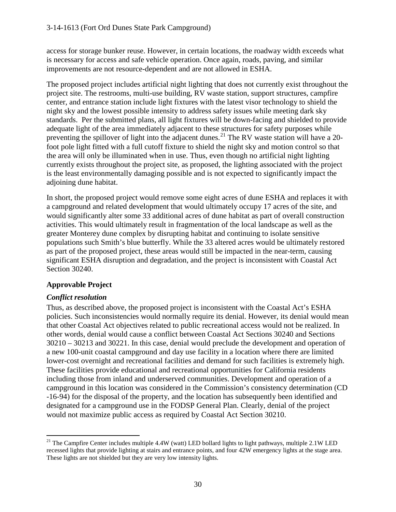access for storage bunker reuse. However, in certain locations, the roadway width exceeds what is necessary for access and safe vehicle operation. Once again, roads, paving, and similar improvements are not resource-dependent and are not allowed in ESHA.

The proposed project includes artificial night lighting that does not currently exist throughout the project site. The restrooms, multi-use building, RV waste station, support structures, campfire center, and entrance station include light fixtures with the latest visor technology to shield the night sky and the lowest possible intensity to address safety issues while meeting dark sky standards. Per the submitted plans, all light fixtures will be down-facing and shielded to provide adequate light of the area immediately adjacent to these structures for safety purposes while preventing the spillover of light into the adjacent dunes.<sup>[21](#page-29-0)</sup> The RV waste station will have a 20foot pole light fitted with a full cutoff fixture to shield the night sky and motion control so that the area will only be illuminated when in use. Thus, even though no artificial night lighting currently exists throughout the project site, as proposed, the lighting associated with the project is the least environmentally damaging possible and is not expected to significantly impact the adjoining dune habitat.

In short, the proposed project would remove some eight acres of dune ESHA and replaces it with a campground and related development that would ultimately occupy 17 acres of the site, and would significantly alter some 33 additional acres of dune habitat as part of overall construction activities. This would ultimately result in fragmentation of the local landscape as well as the greater Monterey dune complex by disrupting habitat and continuing to isolate sensitive populations such Smith's blue butterfly. While the 33 altered acres would be ultimately restored as part of the proposed project, these areas would still be impacted in the near-term, causing significant ESHA disruption and degradation, and the project is inconsistent with Coastal Act Section 30240.

## **Approvable Project**

## *Conflict resolution*

Thus, as described above, the proposed project is inconsistent with the Coastal Act's ESHA policies. Such inconsistencies would normally require its denial. However, its denial would mean that other Coastal Act objectives related to public recreational access would not be realized. In other words, denial would cause a conflict between Coastal Act Sections 30240 and Sections 30210 – 30213 and 30221. In this case, denial would preclude the development and operation of a new 100-unit coastal campground and day use facility in a location where there are limited lower-cost overnight and recreational facilities and demand for such facilities is extremely high. These facilities provide educational and recreational opportunities for California residents including those from inland and underserved communities. Development and operation of a campground in this location was considered in the Commission's consistency determination (CD -16-94) for the disposal of the property, and the location has subsequently been identified and designated for a campground use in the FODSP General Plan. Clearly, denial of the project would not maximize public access as required by Coastal Act Section 30210.

<span id="page-29-0"></span> $\overline{a}$ <sup>21</sup> The Campfire Center includes multiple 4.4W (watt) LED bollard lights to light pathways, multiple 2.1W LED recessed lights that provide lighting at stairs and entrance points, and four 42W emergency lights at the stage area. These lights are not shielded but they are very low intensity lights.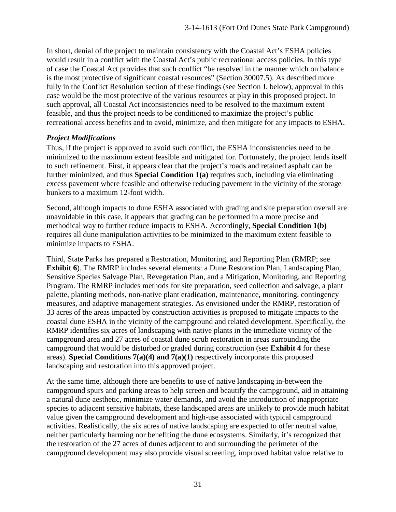In short, denial of the project to maintain consistency with the Coastal Act's ESHA policies would result in a conflict with the Coastal Act's public recreational access policies. In this type of case the Coastal Act provides that such conflict "be resolved in the manner which on balance is the most protective of significant coastal resources" (Section 30007.5). As described more fully in the Conflict Resolution section of these findings (see Section J. below), approval in this case would be the most protective of the various resources at play in this proposed project. In such approval, all Coastal Act inconsistencies need to be resolved to the maximum extent feasible, and thus the project needs to be conditioned to maximize the project's public recreational access benefits and to avoid, minimize, and then mitigate for any impacts to ESHA.

#### *Project Modifications*

Thus, if the project is approved to avoid such conflict, the ESHA inconsistencies need to be minimized to the maximum extent feasible and mitigated for. Fortunately, the project lends itself to such refinement. First, it appears clear that the project's roads and retained asphalt can be further minimized, and thus **Special Condition 1(a)** requires such, including via eliminating excess pavement where feasible and otherwise reducing pavement in the vicinity of the storage bunkers to a maximum 12-foot width.

Second, although impacts to dune ESHA associated with grading and site preparation overall are unavoidable in this case, it appears that grading can be performed in a more precise and methodical way to further reduce impacts to ESHA. Accordingly, **Special Condition 1(b)** requires all dune manipulation activities to be minimized to the maximum extent feasible to minimize impacts to ESHA.

Third, State Parks has prepared a Restoration, Monitoring, and Reporting Plan (RMRP; see **Exhibit 6**). The RMRP includes several elements: a Dune Restoration Plan, Landscaping Plan, Sensitive Species Salvage Plan, Revegetation Plan, and a Mitigation, Monitoring, and Reporting Program. The RMRP includes methods for site preparation, seed collection and salvage, a plant palette, planting methods, non-native plant eradication, maintenance, monitoring, contingency measures, and adaptive management strategies. As envisioned under the RMRP, restoration of 33 acres of the areas impacted by construction activities is proposed to mitigate impacts to the coastal dune ESHA in the vicinity of the campground and related development. Specifically, the RMRP identifies six acres of landscaping with native plants in the immediate vicinity of the campground area and 27 acres of coastal dune scrub restoration in areas surrounding the campground that would be disturbed or graded during construction (see **Exhibit 4** for these areas). **Special Conditions 7(a)(4) and 7(a)(1)** respectively incorporate this proposed landscaping and restoration into this approved project.

At the same time, although there are benefits to use of native landscaping in-between the campground spurs and parking areas to help screen and beautify the campground, aid in attaining a natural dune aesthetic, minimize water demands, and avoid the introduction of inappropriate species to adjacent sensitive habitats, these landscaped areas are unlikely to provide much habitat value given the campground development and high-use associated with typical campground activities. Realistically, the six acres of native landscaping are expected to offer neutral value, neither particularly harming nor benefiting the dune ecosystems. Similarly, it's recognized that the restoration of the 27 acres of dunes adjacent to and surrounding the perimeter of the campground development may also provide visual screening, improved habitat value relative to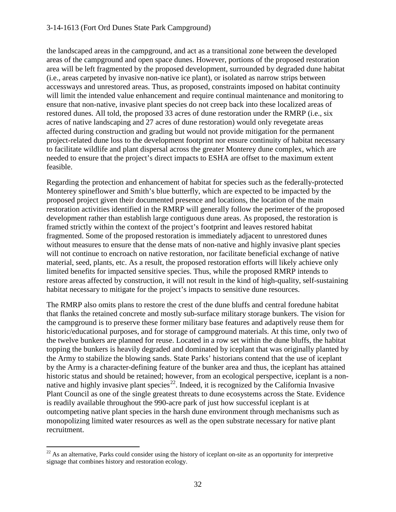#### 3-14-1613 (Fort Ord Dunes State Park Campground)

the landscaped areas in the campground, and act as a transitional zone between the developed areas of the campground and open space dunes. However, portions of the proposed restoration area will be left fragmented by the proposed development, surrounded by degraded dune habitat (i.e., areas carpeted by invasive non-native ice plant), or isolated as narrow strips between accessways and unrestored areas. Thus, as proposed, constraints imposed on habitat continuity will limit the intended value enhancement and require continual maintenance and monitoring to ensure that non-native, invasive plant species do not creep back into these localized areas of restored dunes. All told, the proposed 33 acres of dune restoration under the RMRP (i.e., six acres of native landscaping and 27 acres of dune restoration) would only revegetate areas affected during construction and grading but would not provide mitigation for the permanent project-related dune loss to the development footprint nor ensure continuity of habitat necessary to facilitate wildlife and plant dispersal across the greater Monterey dune complex, which are needed to ensure that the project's direct impacts to ESHA are offset to the maximum extent feasible.

Regarding the protection and enhancement of habitat for species such as the federally-protected Monterey spineflower and Smith's blue butterfly, which are expected to be impacted by the proposed project given their documented presence and locations, the location of the main restoration activities identified in the RMRP will generally follow the perimeter of the proposed development rather than establish large contiguous dune areas. As proposed, the restoration is framed strictly within the context of the project's footprint and leaves restored habitat fragmented. Some of the proposed restoration is immediately adjacent to unrestored dunes without measures to ensure that the dense mats of non-native and highly invasive plant species will not continue to encroach on native restoration, nor facilitate beneficial exchange of native material, seed, plants, etc. As a result, the proposed restoration efforts will likely achieve only limited benefits for impacted sensitive species. Thus, while the proposed RMRP intends to restore areas affected by construction, it will not result in the kind of high-quality, self-sustaining habitat necessary to mitigate for the project's impacts to sensitive dune resources.

The RMRP also omits plans to restore the crest of the dune bluffs and central foredune habitat that flanks the retained concrete and mostly sub-surface military storage bunkers. The vision for the campground is to preserve these former military base features and adaptively reuse them for historic/educational purposes, and for storage of campground materials. At this time, only two of the twelve bunkers are planned for reuse. Located in a row set within the dune bluffs, the habitat topping the bunkers is heavily degraded and dominated by iceplant that was originally planted by the Army to stabilize the blowing sands. State Parks' historians contend that the use of iceplant by the Army is a character-defining feature of the bunker area and thus, the iceplant has attained historic status and should be retained; however, from an ecological perspective, iceplant is a nonnative and highly invasive plant species<sup>22</sup>. Indeed, it is recognized by the California Invasive Plant Council as one of the single greatest threats to dune ecosystems across the State. Evidence is readily available throughout the 990-acre park of just how successful iceplant is at outcompeting native plant species in the harsh dune environment through mechanisms such as monopolizing limited water resources as well as the open substrate necessary for native plant recruitment.

<span id="page-31-0"></span> $\overline{a}$  $22$  As an alternative, Parks could consider using the history of iceplant on-site as an opportunity for interpretive signage that combines history and restoration ecology.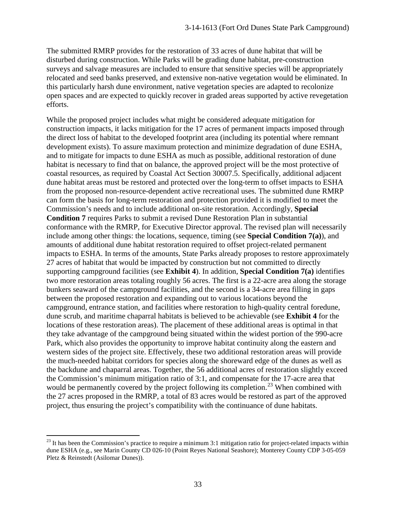The submitted RMRP provides for the restoration of 33 acres of dune habitat that will be disturbed during construction. While Parks will be grading dune habitat, pre-construction surveys and salvage measures are included to ensure that sensitive species will be appropriately relocated and seed banks preserved, and extensive non-native vegetation would be eliminated. In this particularly harsh dune environment, native vegetation species are adapted to recolonize open spaces and are expected to quickly recover in graded areas supported by active revegetation efforts.

While the proposed project includes what might be considered adequate mitigation for construction impacts, it lacks mitigation for the 17 acres of permanent impacts imposed through the direct loss of habitat to the developed footprint area (including its potential where remnant development exists). To assure maximum protection and minimize degradation of dune ESHA, and to mitigate for impacts to dune ESHA as much as possible, additional restoration of dune habitat is necessary to find that on balance, the approved project will be the most protective of coastal resources, as required by Coastal Act Section 30007.5. Specifically, additional adjacent dune habitat areas must be restored and protected over the long-term to offset impacts to ESHA from the proposed non-resource-dependent active recreational uses. The submitted dune RMRP can form the basis for long-term restoration and protection provided it is modified to meet the Commission's needs and to include additional on-site restoration. Accordingly, **Special Condition 7** requires Parks to submit a revised Dune Restoration Plan in substantial conformance with the RMRP, for Executive Director approval. The revised plan will necessarily include among other things: the locations, sequence, timing (see **Special Condition 7(a)**), and amounts of additional dune habitat restoration required to offset project-related permanent impacts to ESHA. In terms of the amounts, State Parks already proposes to restore approximately 27 acres of habitat that would be impacted by construction but not committed to directly supporting campground facilities (see **Exhibit 4**). In addition, **Special Condition 7(a)** identifies two more restoration areas totaling roughly 56 acres. The first is a 22-acre area along the storage bunkers seaward of the campground facilities, and the second is a 34-acre area filling in gaps between the proposed restoration and expanding out to various locations beyond the campground, entrance station, and facilities where restoration to high-quality central foredune, dune scrub, and maritime chaparral habitats is believed to be achievable (see **Exhibit 4** for the locations of these restoration areas). The placement of these additional areas is optimal in that they take advantage of the campground being situated within the widest portion of the 990-acre Park, which also provides the opportunity to improve habitat continuity along the eastern and western sides of the project site. Effectively, these two additional restoration areas will provide the much-needed habitat corridors for species along the shoreward edge of the dunes as well as the backdune and chaparral areas. Together, the 56 additional acres of restoration slightly exceed the Commission's minimum mitigation ratio of 3:1, and compensate for the 17-acre area that would be permanently covered by the project following its completion.<sup>[23](#page-32-0)</sup> When combined with the 27 acres proposed in the RMRP, a total of 83 acres would be restored as part of the approved project, thus ensuring the project's compatibility with the continuance of dune habitats.

 $\overline{a}$ 

<span id="page-32-0"></span> $23$  It has been the Commission's practice to require a minimum 3:1 mitigation ratio for project-related impacts within dune ESHA (e.g., see Marin County CD 026-10 (Point Reyes National Seashore); Monterey County CDP 3-05-059 Pletz & Reinstedt (Asilomar Dunes)).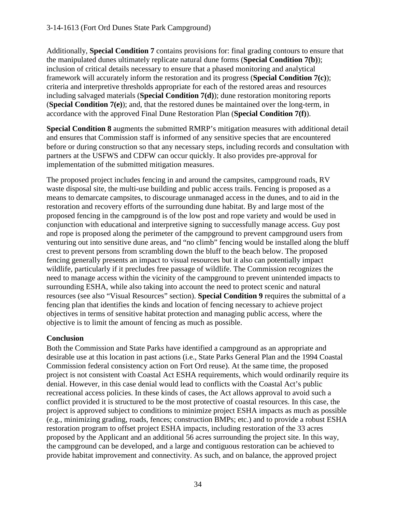Additionally, **Special Condition 7** contains provisions for: final grading contours to ensure that the manipulated dunes ultimately replicate natural dune forms (**Special Condition 7(b)**); inclusion of critical details necessary to ensure that a phased monitoring and analytical framework will accurately inform the restoration and its progress (**Special Condition 7(c)**); criteria and interpretive thresholds appropriate for each of the restored areas and resources including salvaged materials (**Special Condition 7(d)**); dune restoration monitoring reports (**Special Condition 7(e)**); and, that the restored dunes be maintained over the long-term, in accordance with the approved Final Dune Restoration Plan (**Special Condition 7(f)**).

**Special Condition 8** augments the submitted RMRP's mitigation measures with additional detail and ensures that Commission staff is informed of any sensitive species that are encountered before or during construction so that any necessary steps, including records and consultation with partners at the USFWS and CDFW can occur quickly. It also provides pre-approval for implementation of the submitted mitigation measures.

The proposed project includes fencing in and around the campsites, campground roads, RV waste disposal site, the multi-use building and public access trails. Fencing is proposed as a means to demarcate campsites, to discourage unmanaged access in the dunes, and to aid in the restoration and recovery efforts of the surrounding dune habitat. By and large most of the proposed fencing in the campground is of the low post and rope variety and would be used in conjunction with educational and interpretive signing to successfully manage access. Guy post and rope is proposed along the perimeter of the campground to prevent campground users from venturing out into sensitive dune areas, and "no climb" fencing would be installed along the bluff crest to prevent persons from scrambling down the bluff to the beach below. The proposed fencing generally presents an impact to visual resources but it also can potentially impact wildlife, particularly if it precludes free passage of wildlife. The Commission recognizes the need to manage access within the vicinity of the campground to prevent unintended impacts to surrounding ESHA, while also taking into account the need to protect scenic and natural resources (see also "Visual Resources" section). **Special Condition 9** requires the submittal of a fencing plan that identifies the kinds and location of fencing necessary to achieve project objectives in terms of sensitive habitat protection and managing public access, where the objective is to limit the amount of fencing as much as possible.

## **Conclusion**

Both the Commission and State Parks have identified a campground as an appropriate and desirable use at this location in past actions (i.e., State Parks General Plan and the 1994 Coastal Commission federal consistency action on Fort Ord reuse). At the same time, the proposed project is not consistent with Coastal Act ESHA requirements, which would ordinarily require its denial. However, in this case denial would lead to conflicts with the Coastal Act's public recreational access policies. In these kinds of cases, the Act allows approval to avoid such a conflict provided it is structured to be the most protective of coastal resources. In this case, the project is approved subject to conditions to minimize project ESHA impacts as much as possible (e.g., minimizing grading, roads, fences; construction BMPs; etc.) and to provide a robust ESHA restoration program to offset project ESHA impacts, including restoration of the 33 acres proposed by the Applicant and an additional 56 acres surrounding the project site. In this way, the campground can be developed, and a large and contiguous restoration can be achieved to provide habitat improvement and connectivity. As such, and on balance, the approved project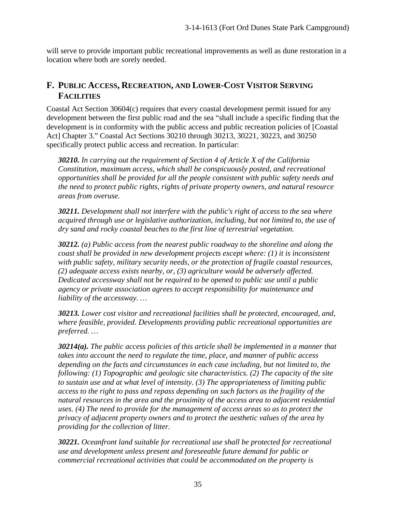will serve to provide important public recreational improvements as well as dune restoration in a location where both are sorely needed.

# **F. PUBLIC ACCESS, RECREATION, AND LOWER-COST VISITOR SERVING FACILITIES**

Coastal Act Section 30604(c) requires that every coastal development permit issued for any development between the first public road and the sea "shall include a specific finding that the development is in conformity with the public access and public recreation policies of [Coastal Act] Chapter 3." Coastal Act Sections 30210 through 30213, 30221, 30223, and 30250 specifically protect public access and recreation. In particular:

*30210. In carrying out the requirement of Section 4 of Article X of the California Constitution, maximum access, which shall be conspicuously posted, and recreational opportunities shall be provided for all the people consistent with public safety needs and the need to protect public rights, rights of private property owners, and natural resource areas from overuse.* 

*30211. Development shall not interfere with the public's right of access to the sea where acquired through use or legislative authorization, including, but not limited to, the use of dry sand and rocky coastal beaches to the first line of terrestrial vegetation.* 

*30212. (a) Public access from the nearest public roadway to the shoreline and along the coast shall be provided in new development projects except where: (1) it is inconsistent with public safety, military security needs, or the protection of fragile coastal resources, (2) adequate access exists nearby, or, (3) agriculture would be adversely affected. Dedicated accessway shall not be required to be opened to public use until a public agency or private association agrees to accept responsibility for maintenance and liability of the accessway. …* 

*30213. Lower cost visitor and recreational facilities shall be protected, encouraged, and, where feasible, provided. Developments providing public recreational opportunities are preferred. …*

*30214(a). The public access policies of this article shall be implemented in a manner that takes into account the need to regulate the time, place, and manner of public access depending on the facts and circumstances in each case including, but not limited to, the following: (1) Topographic and geologic site characteristics. (2) The capacity of the site to sustain use and at what level of intensity. (3) The appropriateness of limiting public access to the right to pass and repass depending on such factors as the fragility of the natural resources in the area and the proximity of the access area to adjacent residential uses. (4) The need to provide for the management of access areas so as to protect the privacy of adjacent property owners and to protect the aesthetic values of the area by providing for the collection of litter.*

*30221. Oceanfront land suitable for recreational use shall be protected for recreational use and development unless present and foreseeable future demand for public or commercial recreational activities that could be accommodated on the property is*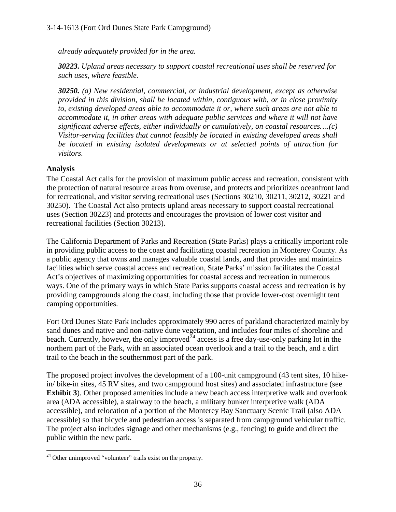*already adequately provided for in the area.* 

*30223. Upland areas necessary to support coastal recreational uses shall be reserved for such uses, where feasible.* 

*30250. (a) New residential, commercial, or industrial development, except as otherwise provided in this division, shall be located within, contiguous with, or in close proximity to, existing developed areas able to accommodate it or, where such areas are not able to accommodate it, in other areas with adequate public services and where it will not have significant adverse effects, either individually or cumulatively, on coastal resources….(c) Visitor-serving facilities that cannot feasibly be located in existing developed areas shall be located in existing isolated developments or at selected points of attraction for visitors.*

## **Analysis**

The Coastal Act calls for the provision of maximum public access and recreation, consistent with the protection of natural resource areas from overuse, and protects and prioritizes oceanfront land for recreational, and visitor serving recreational uses (Sections 30210, 30211, 30212, 30221 and 30250). The Coastal Act also protects upland areas necessary to support coastal recreational uses (Section 30223) and protects and encourages the provision of lower cost visitor and recreational facilities (Section 30213).

The California Department of Parks and Recreation (State Parks) plays a critically important role in providing public access to the coast and facilitating coastal recreation in Monterey County. As a public agency that owns and manages valuable coastal lands, and that provides and maintains facilities which serve coastal access and recreation, State Parks' mission facilitates the Coastal Act's objectives of maximizing opportunities for coastal access and recreation in numerous ways. One of the primary ways in which State Parks supports coastal access and recreation is by providing campgrounds along the coast, including those that provide lower-cost overnight tent camping opportunities.

Fort Ord Dunes State Park includes approximately 990 acres of parkland characterized mainly by sand dunes and native and non-native dune vegetation, and includes four miles of shoreline and beach. Currently, however, the only improved<sup> $24$ </sup> access is a free day-use-only parking lot in the northern part of the Park, with an associated ocean overlook and a trail to the beach, and a dirt trail to the beach in the southernmost part of the park.

The proposed project involves the development of a 100-unit campground (43 tent sites, 10 hikein/ bike-in sites, 45 RV sites, and two campground host sites) and associated infrastructure (see **Exhibit 3**). Other proposed amenities include a new beach access interpretive walk and overlook area (ADA accessible), a stairway to the beach, a military bunker interpretive walk (ADA accessible), and relocation of a portion of the Monterey Bay Sanctuary Scenic Trail (also ADA accessible) so that bicycle and pedestrian access is separated from campground vehicular traffic. The project also includes signage and other mechanisms (e.g., fencing) to guide and direct the public within the new park.

<span id="page-35-0"></span> $\overline{a}$  $24$  Other unimproved "volunteer" trails exist on the property.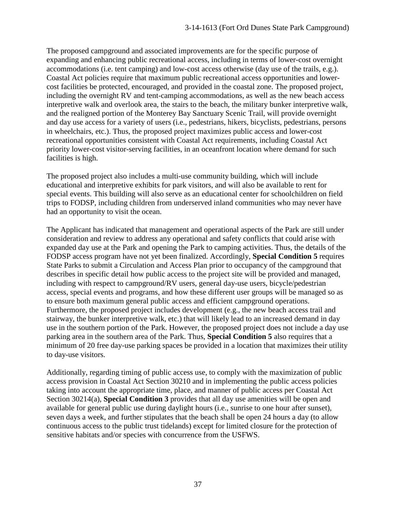The proposed campground and associated improvements are for the specific purpose of expanding and enhancing public recreational access, including in terms of lower-cost overnight accommodations (i.e. tent camping) and low-cost access otherwise (day use of the trails, e.g.). Coastal Act policies require that maximum public recreational access opportunities and lowercost facilities be protected, encouraged, and provided in the coastal zone. The proposed project, including the overnight RV and tent-camping accommodations, as well as the new beach access interpretive walk and overlook area, the stairs to the beach, the military bunker interpretive walk, and the realigned portion of the Monterey Bay Sanctuary Scenic Trail, will provide overnight and day use access for a variety of users (i.e., pedestrians, hikers, bicyclists, pedestrians, persons in wheelchairs, etc.). Thus, the proposed project maximizes public access and lower-cost recreational opportunities consistent with Coastal Act requirements, including Coastal Act priority lower-cost visitor-serving facilities, in an oceanfront location where demand for such facilities is high.

The proposed project also includes a multi-use community building, which will include educational and interpretive exhibits for park visitors, and will also be available to rent for special events. This building will also serve as an educational center for schoolchildren on field trips to FODSP, including children from underserved inland communities who may never have had an opportunity to visit the ocean.

The Applicant has indicated that management and operational aspects of the Park are still under consideration and review to address any operational and safety conflicts that could arise with expanded day use at the Park and opening the Park to camping activities. Thus, the details of the FODSP access program have not yet been finalized. Accordingly, **Special Condition 5** requires State Parks to submit a Circulation and Access Plan prior to occupancy of the campground that describes in specific detail how public access to the project site will be provided and managed, including with respect to campground/RV users, general day-use users, bicycle/pedestrian access, special events and programs, and how these different user groups will be managed so as to ensure both maximum general public access and efficient campground operations. Furthermore, the proposed project includes development (e.g., the new beach access trail and stairway, the bunker interpretive walk, etc.) that will likely lead to an increased demand in day use in the southern portion of the Park. However, the proposed project does not include a day use parking area in the southern area of the Park. Thus, **Special Condition 5** also requires that a minimum of 20 free day-use parking spaces be provided in a location that maximizes their utility to day-use visitors.

Additionally, regarding timing of public access use, to comply with the maximization of public access provision in Coastal Act Section 30210 and in implementing the public access policies taking into account the appropriate time, place, and manner of public access per Coastal Act Section 30214(a), **Special Condition 3** provides that all day use amenities will be open and available for general public use during daylight hours (i.e., sunrise to one hour after sunset), seven days a week, and further stipulates that the beach shall be open 24 hours a day (to allow continuous access to the public trust tidelands) except for limited closure for the protection of sensitive habitats and/or species with concurrence from the USFWS.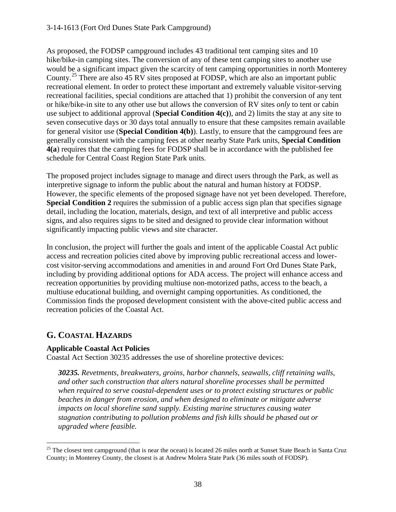As proposed, the FODSP campground includes 43 traditional tent camping sites and 10 hike/bike-in camping sites. The conversion of any of these tent camping sites to another use would be a significant impact given the scarcity of tent camping opportunities in north Monterey County.<sup>[25](#page-37-0)</sup> There are also 45 RV sites proposed at FODSP, which are also an important public recreational element. In order to protect these important and extremely valuable visitor-serving recreational facilities, special conditions are attached that 1) prohibit the conversion of any tent or hike/bike-in site to any other use but allows the conversion of RV sites *only* to tent or cabin use subject to additional approval (**Special Condition 4(c)**), and 2) limits the stay at any site to seven consecutive days or 30 days total annually to ensure that these campsites remain available for general visitor use (**Special Condition 4(b)**). Lastly, to ensure that the campground fees are generally consistent with the camping fees at other nearby State Park units, **Special Condition 4(a**) requires that the camping fees for FODSP shall be in accordance with the published fee schedule for Central Coast Region State Park units.

The proposed project includes signage to manage and direct users through the Park, as well as interpretive signage to inform the public about the natural and human history at FODSP. However, the specific elements of the proposed signage have not yet been developed. Therefore, **Special Condition 2** requires the submission of a public access sign plan that specifies signage detail, including the location, materials, design, and text of all interpretive and public access signs, and also requires signs to be sited and designed to provide clear information without significantly impacting public views and site character.

In conclusion, the project will further the goals and intent of the applicable Coastal Act public access and recreation policies cited above by improving public recreational access and lowercost visitor-serving accommodations and amenities in and around Fort Ord Dunes State Park, including by providing additional options for ADA access. The project will enhance access and recreation opportunities by providing multiuse non-motorized paths, access to the beach, a multiuse educational building, and overnight camping opportunities. As conditioned, the Commission finds the proposed development consistent with the above-cited public access and recreation policies of the Coastal Act.

# **G. COASTAL HAZARDS**

## **Applicable Coastal Act Policies**

Coastal Act Section 30235 addresses the use of shoreline protective devices:

*30235. Revetments, breakwaters, groins, harbor channels, seawalls, cliff retaining walls, and other such construction that alters natural shoreline processes shall be permitted when required to serve coastal-dependent uses or to protect existing structures or public beaches in danger from erosion, and when designed to eliminate or mitigate adverse impacts on local shoreline sand supply. Existing marine structures causing water stagnation contributing to pollution problems and fish kills should be phased out or upgraded where feasible.* 

<span id="page-37-0"></span> $\overline{a}$  $25$  The closest tent campground (that is near the ocean) is located 26 miles north at Sunset State Beach in Santa Cruz County; in Monterey County, the closest is at Andrew Molera State Park (36 miles south of FODSP).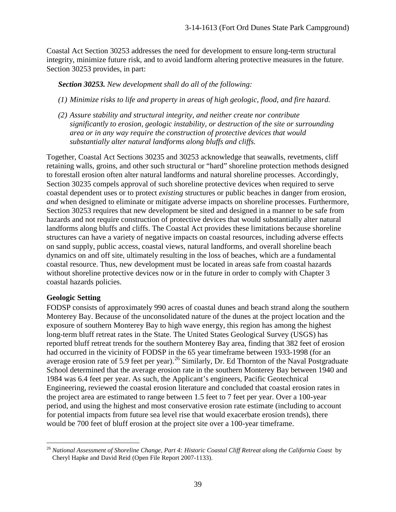Coastal Act Section 30253 addresses the need for development to ensure long-term structural integrity, minimize future risk, and to avoid landform altering protective measures in the future. Section 30253 provides, in part:

*Section 30253. New development shall do all of the following:* 

- *(1) Minimize risks to life and property in areas of high geologic, flood, and fire hazard.*
- *(2) Assure stability and structural integrity, and neither create nor contribute significantly to erosion, geologic instability, or destruction of the site or surrounding area or in any way require the construction of protective devices that would substantially alter natural landforms along bluffs and cliffs.*

Together, Coastal Act Sections 30235 and 30253 acknowledge that seawalls, revetments, cliff retaining walls, groins, and other such structural or "hard" shoreline protection methods designed to forestall erosion often alter natural landforms and natural shoreline processes. Accordingly, Section 30235 compels approval of such shoreline protective devices when required to serve coastal dependent uses or to protect *existing* structures or public beaches in danger from erosion, *and* when designed to eliminate or mitigate adverse impacts on shoreline processes. Furthermore, Section 30253 requires that new development be sited and designed in a manner to be safe from hazards and not require construction of protective devices that would substantially alter natural landforms along bluffs and cliffs. The Coastal Act provides these limitations because shoreline structures can have a variety of negative impacts on coastal resources, including adverse effects on sand supply, public access, coastal views, natural landforms, and overall shoreline beach dynamics on and off site, ultimately resulting in the loss of beaches, which are a fundamental coastal resource. Thus, new development must be located in areas safe from coastal hazards without shoreline protective devices now or in the future in order to comply with Chapter 3 coastal hazards policies.

## **Geologic Setting**

FODSP consists of approximately 990 acres of coastal dunes and beach strand along the southern Monterey Bay. Because of the unconsolidated nature of the dunes at the project location and the exposure of southern Monterey Bay to high wave energy, this region has among the highest long-term bluff retreat rates in the State. The United States Geological Survey (USGS) has reported bluff retreat trends for the southern Monterey Bay area, finding that 382 feet of erosion had occurred in the vicinity of FODSP in the 65 year timeframe between 1933-1998 (for an average erosion rate of 5.9 feet per year).<sup>[26](#page-38-0)</sup> Similarly, Dr. Ed Thornton of the Naval Postgraduate School determined that the average erosion rate in the southern Monterey Bay between 1940 and 1984 was 6.4 feet per year. As such, the Applicant's engineers, Pacific Geotechnical Engineering, reviewed the coastal erosion literature and concluded that coastal erosion rates in the project area are estimated to range between 1.5 feet to 7 feet per year. Over a 100-year period, and using the highest and most conservative erosion rate estimate (including to account for potential impacts from future sea level rise that would exacerbate erosion trends), there would be 700 feet of bluff erosion at the project site over a 100-year timeframe.

<span id="page-38-0"></span> $\overline{a}$ <sup>26</sup> *National Assessment of Shoreline Change, Part 4: Historic Coastal Cliff Retreat along the California Coast* by Cheryl Hapke and David Reid (Open File Report 2007-1133).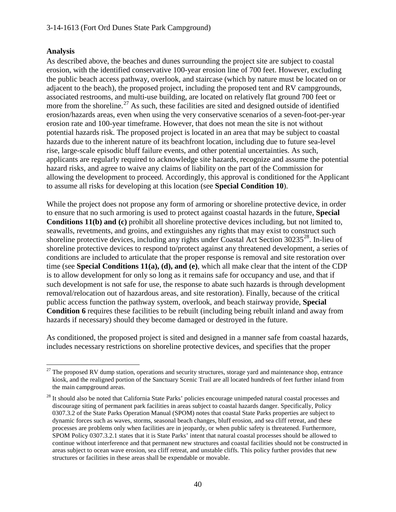## **Analysis**

As described above, the beaches and dunes surrounding the project site are subject to coastal erosion, with the identified conservative 100-year erosion line of 700 feet. However, excluding the public beach access pathway, overlook, and staircase (which by nature must be located on or adjacent to the beach), the proposed project, including the proposed tent and RV campgrounds, associated restrooms, and multi-use building, are located on relatively flat ground 700 feet or more from the shoreline.<sup>[27](#page-39-0)</sup> As such, these facilities are sited and designed outside of identified erosion/hazards areas, even when using the very conservative scenarios of a seven-foot-per-year erosion rate and 100-year timeframe. However, that does not mean the site is not without potential hazards risk. The proposed project is located in an area that may be subject to coastal hazards due to the inherent nature of its beachfront location, including due to future sea-level rise, large-scale episodic bluff failure events, and other potential uncertainties. As such, applicants are regularly required to acknowledge site hazards, recognize and assume the potential hazard risks, and agree to waive any claims of liability on the part of the Commission for allowing the development to proceed. Accordingly, this approval is conditioned for the Applicant to assume all risks for developing at this location (see **Special Condition 10**).

While the project does not propose any form of armoring or shoreline protective device, in order to ensure that no such armoring is used to protect against coastal hazards in the future, **Special Conditions 11(b) and (c)** prohibit all shoreline protective devices including, but not limited to, seawalls, revetments, and groins, and extinguishes any rights that may exist to construct such shoreline protective devices, including any rights under Coastal Act Section  $30235^{28}$  $30235^{28}$  $30235^{28}$ . In-lieu of shoreline protective devices to respond to/protect against any threatened development, a series of conditions are included to articulate that the proper response is removal and site restoration over time (see **Special Conditions 11(a), (d), and (e)**, which all make clear that the intent of the CDP is to allow development for only so long as it remains safe for occupancy and use, and that if such development is not safe for use, the response to abate such hazards is through development removal/relocation out of hazardous areas, and site restoration). Finally, because of the critical public access function the pathway system, overlook, and beach stairway provide, **Special Condition 6** requires these facilities to be rebuilt (including being rebuilt inland and away from hazards if necessary) should they become damaged or destroyed in the future.

As conditioned, the proposed project is sited and designed in a manner safe from coastal hazards, includes necessary restrictions on shoreline protective devices, and specifies that the proper

<span id="page-39-0"></span> $\overline{a}$  $27$  The proposed RV dump station, operations and security structures, storage yard and maintenance shop, entrance kiosk, and the realigned portion of the Sanctuary Scenic Trail are all located hundreds of feet further inland from the main campground areas.

<span id="page-39-1"></span><sup>&</sup>lt;sup>28</sup> It should also be noted that California State Parks' policies encourage unimpeded natural coastal processes and discourage siting of permanent park facilities in areas subject to coastal hazards danger. Specifically, Policy 0307.3.2 of the State Parks Operation Manual (SPOM) notes that coastal State Parks properties are subject to dynamic forces such as waves, storms, seasonal beach changes, bluff erosion, and sea cliff retreat, and these processes are problems only when facilities are in jeopardy, or when public safety is threatened. Furthermore, SPOM Policy 0307.3.2.1 states that it is State Parks' intent that natural coastal processes should be allowed to continue without interference and that permanent new structures and coastal facilities should not be constructed in areas subject to ocean wave erosion, sea cliff retreat, and unstable cliffs. This policy further provides that new structures or facilities in these areas shall be expendable or movable.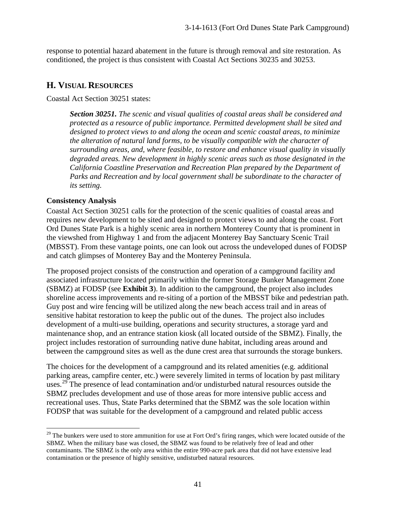response to potential hazard abatement in the future is through removal and site restoration. As conditioned, the project is thus consistent with Coastal Act Sections 30235 and 30253.

## **H. VISUAL RESOURCES**

Coastal Act Section 30251 states:

*Section 30251. The scenic and visual qualities of coastal areas shall be considered and protected as a resource of public importance. Permitted development shall be sited and designed to protect views to and along the ocean and scenic coastal areas, to minimize the alteration of natural land forms, to be visually compatible with the character of surrounding areas, and, where feasible, to restore and enhance visual quality in visually degraded areas. New development in highly scenic areas such as those designated in the California Coastline Preservation and Recreation Plan prepared by the Department of*  Parks and Recreation and by local government shall be subordinate to the character of *its setting.*

## **Consistency Analysis**

Coastal Act Section 30251 calls for the protection of the scenic qualities of coastal areas and requires new development to be sited and designed to protect views to and along the coast. Fort Ord Dunes State Park is a highly scenic area in northern Monterey County that is prominent in the viewshed from Highway 1 and from the adjacent Monterey Bay Sanctuary Scenic Trail (MBSST). From these vantage points, one can look out across the undeveloped dunes of FODSP and catch glimpses of Monterey Bay and the Monterey Peninsula.

The proposed project consists of the construction and operation of a campground facility and associated infrastructure located primarily within the former Storage Bunker Management Zone (SBMZ) at FODSP (see **Exhibit 3**). In addition to the campground, the project also includes shoreline access improvements and re-siting of a portion of the MBSST bike and pedestrian path. Guy post and wire fencing will be utilized along the new beach access trail and in areas of sensitive habitat restoration to keep the public out of the dunes. The project also includes development of a multi-use building, operations and security structures, a storage yard and maintenance shop, and an entrance station kiosk (all located outside of the SBMZ). Finally, the project includes restoration of surrounding native dune habitat, including areas around and between the campground sites as well as the dune crest area that surrounds the storage bunkers.

The choices for the development of a campground and its related amenities (e.g. additional parking areas, campfire center, etc.) were severely limited in terms of location by past military uses.<sup>[29](#page-40-0)</sup> The presence of lead contamination and/or undisturbed natural resources outside the SBMZ precludes development and use of those areas for more intensive public access and recreational uses. Thus, State Parks determined that the SBMZ was the sole location within FODSP that was suitable for the development of a campground and related public access

<span id="page-40-0"></span> $\overline{a}$ <sup>29</sup> The bunkers were used to store ammunition for use at Fort Ord's firing ranges, which were located outside of the SBMZ. When the military base was closed, the SBMZ was found to be relatively free of lead and other contaminants. The SBMZ is the only area within the entire 990-acre park area that did not have extensive lead contamination or the presence of highly sensitive, undisturbed natural resources.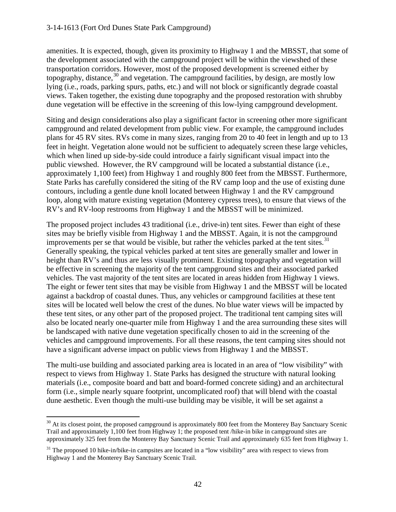amenities. It is expected, though, given its proximity to Highway 1 and the MBSST, that some of the development associated with the campground project will be within the viewshed of these transportation corridors. However, most of the proposed development is screened either by topography, distance,  $30$  and vegetation. The campground facilities, by design, are mostly low lying (i.e., roads, parking spurs, paths, etc.) and will not block or significantly degrade coastal views. Taken together, the existing dune topography and the proposed restoration with shrubby dune vegetation will be effective in the screening of this low-lying campground development.

Siting and design considerations also play a significant factor in screening other more significant campground and related development from public view. For example, the campground includes plans for 45 RV sites. RVs come in many sizes, ranging from 20 to 40 feet in length and up to 13 feet in height. Vegetation alone would not be sufficient to adequately screen these large vehicles, which when lined up side-by-side could introduce a fairly significant visual impact into the public viewshed. However, the RV campground will be located a substantial distance (i.e., approximately 1,100 feet) from Highway 1 and roughly 800 feet from the MBSST. Furthermore, State Parks has carefully considered the siting of the RV camp loop and the use of existing dune contours, including a gentle dune knoll located between Highway 1 and the RV campground loop, along with mature existing vegetation (Monterey cypress trees), to ensure that views of the RV's and RV-loop restrooms from Highway 1 and the MBSST will be minimized.

The proposed project includes 43 traditional (i.e., drive-in) tent sites. Fewer than eight of these sites may be briefly visible from Highway 1 and the MBSST. Again, it is not the campground improvements per se that would be visible, but rather the vehicles parked at the tent sites.<sup>[31](#page-41-1)</sup> Generally speaking, the typical vehicles parked at tent sites are generally smaller and lower in height than RV's and thus are less visually prominent. Existing topography and vegetation will be effective in screening the majority of the tent campground sites and their associated parked vehicles. The vast majority of the tent sites are located in areas hidden from Highway 1 views. The eight or fewer tent sites that may be visible from Highway 1 and the MBSST will be located against a backdrop of coastal dunes. Thus, any vehicles or campground facilities at these tent sites will be located well below the crest of the dunes. No blue water views will be impacted by these tent sites, or any other part of the proposed project. The traditional tent camping sites will also be located nearly one-quarter mile from Highway 1 and the area surrounding these sites will be landscaped with native dune vegetation specifically chosen to aid in the screening of the vehicles and campground improvements. For all these reasons, the tent camping sites should not have a significant adverse impact on public views from Highway 1 and the MBSST.

The multi-use building and associated parking area is located in an area of "low visibility" with respect to views from Highway 1. State Parks has designed the structure with natural looking materials (i.e., composite board and batt and board-formed concrete siding) and an architectural form (i.e., simple nearly square footprint, uncomplicated roof) that will blend with the coastal dune aesthetic. Even though the multi-use building may be visible, it will be set against a

<span id="page-41-0"></span> $\overline{a}$  $30$  At its closest point, the proposed campground is approximately 800 feet from the Monterey Bay Sanctuary Scenic Trail and approximately 1,100 feet from Highway 1; the proposed tent /hike-in bike in campground sites are approximately 325 feet from the Monterey Bay Sanctuary Scenic Trail and approximately 635 feet from Highway 1.

<span id="page-41-1"></span><sup>&</sup>lt;sup>31</sup> The proposed 10 hike-in/bike-in campsites are located in a "low visibility" area with respect to views from Highway 1 and the Monterey Bay Sanctuary Scenic Trail.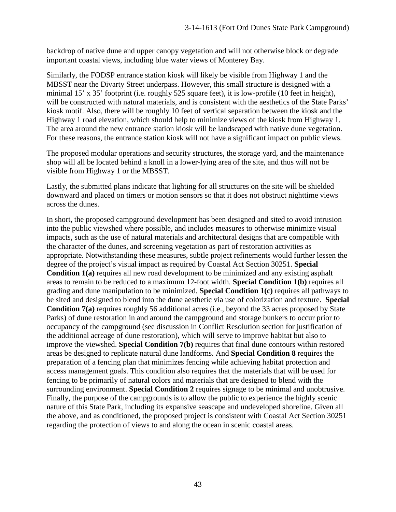backdrop of native dune and upper canopy vegetation and will not otherwise block or degrade important coastal views, including blue water views of Monterey Bay.

Similarly, the FODSP entrance station kiosk will likely be visible from Highway 1 and the MBSST near the Divarty Street underpass. However, this small structure is designed with a minimal 15' x 35' footprint (i.e. roughly 525 square feet), it is low-profile (10 feet in height), will be constructed with natural materials, and is consistent with the aesthetics of the State Parks' kiosk motif. Also, there will be roughly 10 feet of vertical separation between the kiosk and the Highway 1 road elevation, which should help to minimize views of the kiosk from Highway 1. The area around the new entrance station kiosk will be landscaped with native dune vegetation. For these reasons, the entrance station kiosk will not have a significant impact on public views.

The proposed modular operations and security structures, the storage yard, and the maintenance shop will all be located behind a knoll in a lower-lying area of the site, and thus will not be visible from Highway 1 or the MBSST.

Lastly, the submitted plans indicate that lighting for all structures on the site will be shielded downward and placed on timers or motion sensors so that it does not obstruct nighttime views across the dunes.

In short, the proposed campground development has been designed and sited to avoid intrusion into the public viewshed where possible, and includes measures to otherwise minimize visual impacts, such as the use of natural materials and architectural designs that are compatible with the character of the dunes, and screening vegetation as part of restoration activities as appropriate. Notwithstanding these measures, subtle project refinements would further lessen the degree of the project's visual impact as required by Coastal Act Section 30251. **Special Condition 1(a)** requires all new road development to be minimized and any existing asphalt areas to remain to be reduced to a maximum 12-foot width. **Special Condition 1(b)** requires all grading and dune manipulation to be minimized. **Special Condition 1(c)** requires all pathways to be sited and designed to blend into the dune aesthetic via use of colorization and texture. **Special Condition 7(a)** requires roughly 56 additional acres (i.e., beyond the 33 acres proposed by State Parks) of dune restoration in and around the campground and storage bunkers to occur prior to occupancy of the campground (see discussion in Conflict Resolution section for justification of the additional acreage of dune restoration), which will serve to improve habitat but also to improve the viewshed. **Special Condition 7(b)** requires that final dune contours within restored areas be designed to replicate natural dune landforms. And **Special Condition 8** requires the preparation of a fencing plan that minimizes fencing while achieving habitat protection and access management goals. This condition also requires that the materials that will be used for fencing to be primarily of natural colors and materials that are designed to blend with the surrounding environment. **Special Condition 2** requires signage to be minimal and unobtrusive. Finally, the purpose of the campgrounds is to allow the public to experience the highly scenic nature of this State Park, including its expansive seascape and undeveloped shoreline. Given all the above, and as conditioned, the proposed project is consistent with Coastal Act Section 30251 regarding the protection of views to and along the ocean in scenic coastal areas.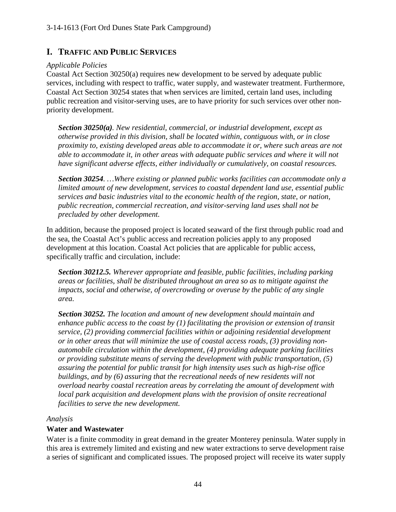## **I. TRAFFIC AND PUBLIC SERVICES**

#### *Applicable Policies*

Coastal Act Section 30250(a) requires new development to be served by adequate public services, including with respect to traffic, water supply, and wastewater treatment. Furthermore, Coastal Act Section 30254 states that when services are limited, certain land uses, including public recreation and visitor-serving uses, are to have priority for such services over other nonpriority development.

*Section 30250(a). New residential, commercial, or industrial development, except as otherwise provided in this division, shall be located within, contiguous with, or in close proximity to, existing developed areas able to accommodate it or, where such areas are not able to accommodate it, in other areas with adequate public services and where it will not have significant adverse effects, either individually or cumulatively, on coastal resources.* 

*Section 30254. …Where existing or planned public works facilities can accommodate only a limited amount of new development, services to coastal dependent land use, essential public services and basic industries vital to the economic health of the region, state, or nation, public recreation, commercial recreation, and visitor-serving land uses shall not be precluded by other development.* 

In addition, because the proposed project is located seaward of the first through public road and the sea, the Coastal Act's public access and recreation policies apply to any proposed development at this location. Coastal Act policies that are applicable for public access, specifically traffic and circulation, include:

*Section 30212.5. Wherever appropriate and feasible, public facilities, including parking areas or facilities, shall be distributed throughout an area so as to mitigate against the impacts, social and otherwise, of overcrowding or overuse by the public of any single area.* 

*Section 30252. The location and amount of new development should maintain and enhance public access to the coast by (1) facilitating the provision or extension of transit service, (2) providing commercial facilities within or adjoining residential development or in other areas that will minimize the use of coastal access roads, (3) providing nonautomobile circulation within the development, (4) providing adequate parking facilities or providing substitute means of serving the development with public transportation, (5) assuring the potential for public transit for high intensity uses such as high-rise office buildings, and by (6) assuring that the recreational needs of new residents will not overload nearby coastal recreation areas by correlating the amount of development with*  local park acquisition and development plans with the provision of onsite recreational *facilities to serve the new development.* 

## *Analysis*

## **Water and Wastewater**

Water is a finite commodity in great demand in the greater Monterey peninsula. Water supply in this area is extremely limited and existing and new water extractions to serve development raise a series of significant and complicated issues. The proposed project will receive its water supply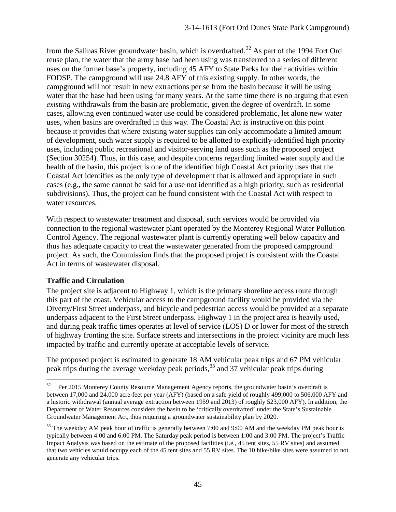from the Salinas River groundwater basin, which is overdrafted.<sup>32</sup> As part of the 1994 Fort Ord reuse plan, the water that the army base had been using was transferred to a series of different uses on the former base's property, including 45 AFY to State Parks for their activities within FODSP. The campground will use 24.8 AFY of this existing supply. In other words, the campground will not result in new extractions per se from the basin because it will be using water that the base had been using for many years. At the same time there is no arguing that even *existing* withdrawals from the basin are problematic, given the degree of overdraft. In some cases, allowing even continued water use could be considered problematic, let alone new water uses, when basins are overdrafted in this way. The Coastal Act is instructive on this point because it provides that where existing water supplies can only accommodate a limited amount of development, such water supply is required to be allotted to explicitly-identified high priority uses, including public recreational and visitor-serving land uses such as the proposed project (Section 30254). Thus, in this case, and despite concerns regarding limited water supply and the health of the basin, this project is one of the identified high Coastal Act priority uses that the Coastal Act identifies as the only type of development that is allowed and appropriate in such cases (e.g., the same cannot be said for a use not identified as a high priority, such as residential subdivisions). Thus, the project can be found consistent with the Coastal Act with respect to water resources.

With respect to wastewater treatment and disposal, such services would be provided via connection to the regional wastewater plant operated by the Monterey Regional Water Pollution Control Agency. The regional wastewater plant is currently operating well below capacity and thus has adequate capacity to treat the wastewater generated from the proposed campground project. As such, the Commission finds that the proposed project is consistent with the Coastal Act in terms of wastewater disposal.

## **Traffic and Circulation**

The project site is adjacent to Highway 1, which is the primary shoreline access route through this part of the coast. Vehicular access to the campground facility would be provided via the Diverty/First Street underpass, and bicycle and pedestrian access would be provided at a separate underpass adjacent to the First Street underpass. Highway 1 in the project area is heavily used, and during peak traffic times operates at level of service (LOS) D or lower for most of the stretch of highway fronting the site. Surface streets and intersections in the project vicinity are much less impacted by traffic and currently operate at acceptable levels of service.

The proposed project is estimated to generate 18 AM vehicular peak trips and 67 PM vehicular peak trips during the average weekday peak periods,<sup>33</sup> and 37 vehicular peak trips during

<span id="page-44-0"></span><sup>32</sup> Per 2015 Monterey County Resource Management Agency reports, the groundwater basin's overdraft is between 17,000 and 24,000 acre-feet per year (AFY) (based on a safe yield of roughly 499,000 to 506,000 AFY and a historic withdrawal (annual average extraction between 1959 and 2013) of roughly 523,000 AFY). In addition, the Department of Water Resources considers the basin to be 'critically overdrafted' under the State's Sustainable Groundwater Management Act, thus requiring a groundwater sustainability plan by 2020.

<span id="page-44-1"></span><sup>&</sup>lt;sup>33</sup> The weekday AM peak hour of traffic is generally between 7:00 and 9:00 AM and the weekday PM peak hour is typically between 4:00 and 6:00 PM. The Saturday peak period is between 1:00 and 3:00 PM. The project's Traffic Impact Analysis was based on the estimate of the proposed facilities (i.e., 45 tent sites, 55 RV sites) and assumed that two vehicles would occupy each of the 45 tent sites and 55 RV sites. The 10 hike/bike sites were assumed to not generate any vehicular trips.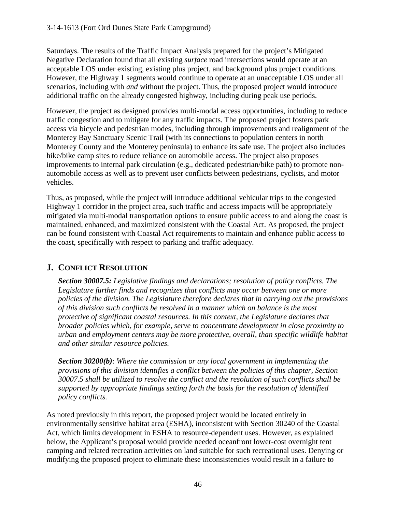Saturdays. The results of the Traffic Impact Analysis prepared for the project's Mitigated Negative Declaration found that all existing *surface* road intersections would operate at an acceptable LOS under existing, existing plus project, and background plus project conditions. However, the Highway 1 segments would continue to operate at an unacceptable LOS under all scenarios, including with *and* without the project. Thus, the proposed project would introduce additional traffic on the already congested highway, including during peak use periods.

However, the project as designed provides multi-modal access opportunities, including to reduce traffic congestion and to mitigate for any traffic impacts. The proposed project fosters park access via bicycle and pedestrian modes, including through improvements and realignment of the Monterey Bay Sanctuary Scenic Trail (with its connections to population centers in north Monterey County and the Monterey peninsula) to enhance its safe use. The project also includes hike/bike camp sites to reduce reliance on automobile access. The project also proposes improvements to internal park circulation (e.g., dedicated pedestrian/bike path) to promote nonautomobile access as well as to prevent user conflicts between pedestrians, cyclists, and motor vehicles.

Thus, as proposed, while the project will introduce additional vehicular trips to the congested Highway 1 corridor in the project area, such traffic and access impacts will be appropriately mitigated via multi-modal transportation options to ensure public access to and along the coast is maintained, enhanced, and maximized consistent with the Coastal Act. As proposed, the project can be found consistent with Coastal Act requirements to maintain and enhance public access to the coast, specifically with respect to parking and traffic adequacy.

# **J. CONFLICT RESOLUTION**

*Section 30007.5: Legislative findings and declarations; resolution of policy conflicts. The Legislature further finds and recognizes that conflicts may occur between one or more policies of the division. The Legislature therefore declares that in carrying out the provisions of this division such conflicts be resolved in a manner which on balance is the most protective of significant coastal resources. In this context, the Legislature declares that broader policies which, for example, serve to concentrate development in close proximity to urban and employment centers may be more protective, overall, than specific wildlife habitat and other similar resource policies.* 

*Section 30200(b)*: *Where the commission or any local government in implementing the provisions of this division identifies a conflict between the policies of this chapter, Section 30007.5 shall be utilized to resolve the conflict and the resolution of such conflicts shall be supported by appropriate findings setting forth the basis for the resolution of identified policy conflicts.*

As noted previously in this report, the proposed project would be located entirely in environmentally sensitive habitat area (ESHA), inconsistent with Section 30240 of the Coastal Act, which limits development in ESHA to resource-dependent uses. However, as explained below, the Applicant's proposal would provide needed oceanfront lower-cost overnight tent camping and related recreation activities on land suitable for such recreational uses. Denying or modifying the proposed project to eliminate these inconsistencies would result in a failure to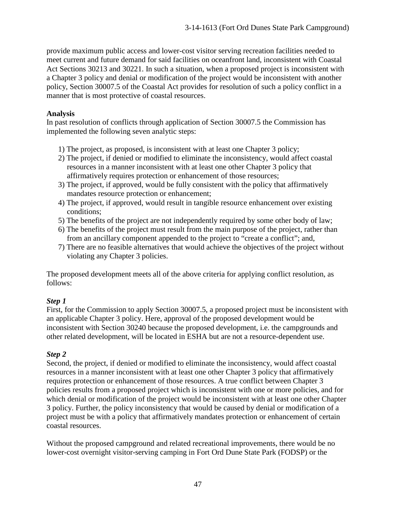provide maximum public access and lower-cost visitor serving recreation facilities needed to meet current and future demand for said facilities on oceanfront land, inconsistent with Coastal Act Sections 30213 and 30221. In such a situation, when a proposed project is inconsistent with a Chapter 3 policy and denial or modification of the project would be inconsistent with another policy, Section 30007.5 of the Coastal Act provides for resolution of such a policy conflict in a manner that is most protective of coastal resources.

## **Analysis**

In past resolution of conflicts through application of Section 30007.5 the Commission has implemented the following seven analytic steps:

- 1) The project, as proposed, is inconsistent with at least one Chapter 3 policy;
- 2) The project, if denied or modified to eliminate the inconsistency, would affect coastal resources in a manner inconsistent with at least one other Chapter 3 policy that affirmatively requires protection or enhancement of those resources;
- 3) The project, if approved, would be fully consistent with the policy that affirmatively mandates resource protection or enhancement;
- 4) The project, if approved, would result in tangible resource enhancement over existing conditions;
- 5) The benefits of the project are not independently required by some other body of law;
- 6) The benefits of the project must result from the main purpose of the project, rather than from an ancillary component appended to the project to "create a conflict"; and,
- 7) There are no feasible alternatives that would achieve the objectives of the project without violating any Chapter 3 policies.

The proposed development meets all of the above criteria for applying conflict resolution, as follows:

## *Step 1*

First, for the Commission to apply Section 30007.5, a proposed project must be inconsistent with an applicable Chapter 3 policy. Here, approval of the proposed development would be inconsistent with Section 30240 because the proposed development, i.e. the campgrounds and other related development, will be located in ESHA but are not a resource-dependent use.

## *Step 2*

Second, the project, if denied or modified to eliminate the inconsistency, would affect coastal resources in a manner inconsistent with at least one other Chapter 3 policy that affirmatively requires protection or enhancement of those resources. A true conflict between Chapter 3 policies results from a proposed project which is inconsistent with one or more policies, and for which denial or modification of the project would be inconsistent with at least one other Chapter 3 policy. Further, the policy inconsistency that would be caused by denial or modification of a project must be with a policy that affirmatively mandates protection or enhancement of certain coastal resources.

Without the proposed campground and related recreational improvements, there would be no lower-cost overnight visitor-serving camping in Fort Ord Dune State Park (FODSP) or the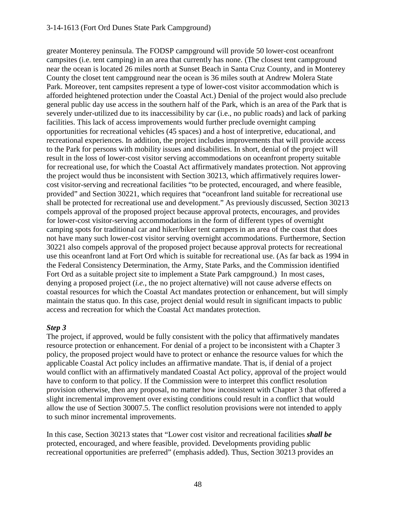#### 3-14-1613 (Fort Ord Dunes State Park Campground)

greater Monterey peninsula. The FODSP campground will provide 50 lower-cost oceanfront campsites (i.e. tent camping) in an area that currently has none. (The closest tent campground near the ocean is located 26 miles north at Sunset Beach in Santa Cruz County, and in Monterey County the closet tent campground near the ocean is 36 miles south at Andrew Molera State Park. Moreover, tent campsites represent a type of lower-cost visitor accommodation which is afforded heightened protection under the Coastal Act.) Denial of the project would also preclude general public day use access in the southern half of the Park, which is an area of the Park that is severely under-utilized due to its inaccessibility by car (i.e., no public roads) and lack of parking facilities. This lack of access improvements would further preclude overnight camping opportunities for recreational vehicles (45 spaces) and a host of interpretive, educational, and recreational experiences. In addition, the project includes improvements that will provide access to the Park for persons with mobility issues and disabilities. In short, denial of the project will result in the loss of lower-cost visitor serving accommodations on oceanfront property suitable for recreational use, for which the Coastal Act affirmatively mandates protection. Not approving the project would thus be inconsistent with Section 30213, which affirmatively requires lowercost visitor-serving and recreational facilities "to be protected, encouraged, and where feasible, provided" and Section 30221, which requires that "oceanfront land suitable for recreational use shall be protected for recreational use and development." As previously discussed, Section 30213 compels approval of the proposed project because approval protects, encourages, and provides for lower-cost visitor-serving accommodations in the form of different types of overnight camping spots for traditional car and hiker/biker tent campers in an area of the coast that does not have many such lower-cost visitor serving overnight accommodations. Furthermore, Section 30221 also compels approval of the proposed project because approval protects for recreational use this oceanfront land at Fort Ord which is suitable for recreational use. (As far back as 1994 in the Federal Consistency Determination, the Army, State Parks, and the Commission identified Fort Ord as a suitable project site to implement a State Park campground.) In most cases, denying a proposed project (*i.e.*, the no project alternative) will not cause adverse effects on coastal resources for which the Coastal Act mandates protection or enhancement, but will simply maintain the status quo. In this case, project denial would result in significant impacts to public access and recreation for which the Coastal Act mandates protection.

#### *Step 3*

The project, if approved, would be fully consistent with the policy that affirmatively mandates resource protection or enhancement. For denial of a project to be inconsistent with a Chapter 3 policy, the proposed project would have to protect or enhance the resource values for which the applicable Coastal Act policy includes an affirmative mandate. That is, if denial of a project would conflict with an affirmatively mandated Coastal Act policy, approval of the project would have to conform to that policy. If the Commission were to interpret this conflict resolution provision otherwise, then any proposal, no matter how inconsistent with Chapter 3 that offered a slight incremental improvement over existing conditions could result in a conflict that would allow the use of Section 30007.5. The conflict resolution provisions were not intended to apply to such minor incremental improvements.

In this case, Section 30213 states that "Lower cost visitor and recreational facilities *shall be*  protected, encouraged, and where feasible, provided. Developments providing public recreational opportunities are preferred" (emphasis added). Thus, Section 30213 provides an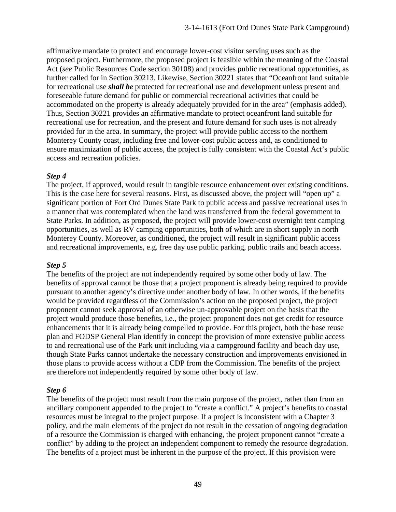affirmative mandate to protect and encourage lower-cost visitor serving uses such as the proposed project. Furthermore, the proposed project is feasible within the meaning of the Coastal Act (*see* Public Resources Code section 30108) and provides public recreational opportunities, as further called for in Section 30213. Likewise, Section 30221 states that "Oceanfront land suitable for recreational use *shall be* protected for recreational use and development unless present and foreseeable future demand for public or commercial recreational activities that could be accommodated on the property is already adequately provided for in the area" (emphasis added). Thus, Section 30221 provides an affirmative mandate to protect oceanfront land suitable for recreational use for recreation, and the present and future demand for such uses is not already provided for in the area. In summary, the project will provide public access to the northern Monterey County coast, including free and lower-cost public access and, as conditioned to ensure maximization of public access, the project is fully consistent with the Coastal Act's public access and recreation policies.

#### *Step 4*

The project, if approved, would result in tangible resource enhancement over existing conditions. This is the case here for several reasons. First, as discussed above, the project will "open up" a significant portion of Fort Ord Dunes State Park to public access and passive recreational uses in a manner that was contemplated when the land was transferred from the federal government to State Parks. In addition, as proposed, the project will provide lower-cost overnight tent camping opportunities, as well as RV camping opportunities, both of which are in short supply in north Monterey County. Moreover, as conditioned, the project will result in significant public access and recreational improvements, e.g. free day use public parking, public trails and beach access.

#### *Step 5*

The benefits of the project are not independently required by some other body of law. The benefits of approval cannot be those that a project proponent is already being required to provide pursuant to another agency's directive under another body of law. In other words, if the benefits would be provided regardless of the Commission's action on the proposed project, the project proponent cannot seek approval of an otherwise un-approvable project on the basis that the project would produce those benefits, i.e., the project proponent does not get credit for resource enhancements that it is already being compelled to provide. For this project, both the base reuse plan and FODSP General Plan identify in concept the provision of more extensive public access to and recreational use of the Park unit including via a campground facility and beach day use, though State Parks cannot undertake the necessary construction and improvements envisioned in those plans to provide access without a CDP from the Commission. The benefits of the project are therefore not independently required by some other body of law.

#### *Step 6*

The benefits of the project must result from the main purpose of the project, rather than from an ancillary component appended to the project to "create a conflict." A project's benefits to coastal resources must be integral to the project purpose. If a project is inconsistent with a Chapter 3 policy, and the main elements of the project do not result in the cessation of ongoing degradation of a resource the Commission is charged with enhancing, the project proponent cannot "create a conflict" by adding to the project an independent component to remedy the resource degradation. The benefits of a project must be inherent in the purpose of the project. If this provision were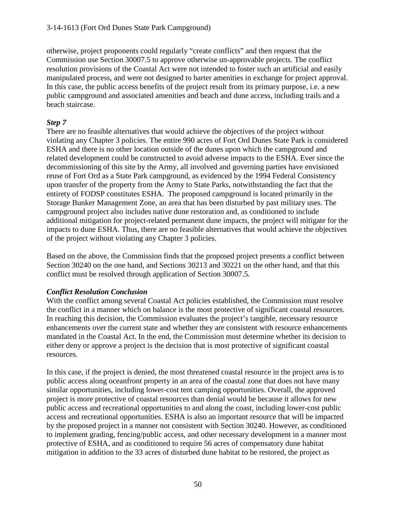otherwise, project proponents could regularly "create conflicts" and then request that the Commission use Section 30007.5 to approve otherwise un-approvable projects. The conflict resolution provisions of the Coastal Act were not intended to foster such an artificial and easily manipulated process, and were not designed to barter amenities in exchange for project approval. In this case, the public access benefits of the project result from its primary purpose, i.e. a new public campground and associated amenities and beach and dune access, including trails and a beach staircase.

## *Step 7*

There are no feasible alternatives that would achieve the objectives of the project without violating any Chapter 3 policies. The entire 990 acres of Fort Ord Dunes State Park is considered ESHA and there is no other location outside of the dunes upon which the campground and related development could be constructed to avoid adverse impacts to the ESHA. Ever since the decommissioning of this site by the Army, all involved and governing parties have envisioned reuse of Fort Ord as a State Park campground, as evidenced by the 1994 Federal Consistency upon transfer of the property from the Army to State Parks, notwithstanding the fact that the entirety of FODSP constitutes ESHA. The proposed campground is located primarily in the Storage Bunker Management Zone, an area that has been disturbed by past military uses. The campground project also includes native dune restoration and, as conditioned to include additional mitigation for project-related permanent dune impacts, the project will mitigate for the impacts to dune ESHA. Thus, there are no feasible alternatives that would achieve the objectives of the project without violating any Chapter 3 policies.

Based on the above, the Commission finds that the proposed project presents a conflict between Section 30240 on the one hand, and Sections 30213 and 30221 on the other hand, and that this conflict must be resolved through application of Section 30007.5.

## *Conflict Resolution Conclusion*

With the conflict among several Coastal Act policies established, the Commission must resolve the conflict in a manner which on balance is the most protective of significant coastal resources. In reaching this decision, the Commission evaluates the project's tangible, necessary resource enhancements over the current state and whether they are consistent with resource enhancements mandated in the Coastal Act. In the end, the Commission must determine whether its decision to either deny or approve a project is the decision that is most protective of significant coastal resources.

In this case, if the project is denied, the most threatened coastal resource in the project area is to public access along oceanfront property in an area of the coastal zone that does not have many similar opportunities, including lower-cost tent camping opportunities. Overall, the approved project is more protective of coastal resources than denial would be because it allows for new public access and recreational opportunities to and along the coast, including lower-cost public access and recreational opportunities. ESHA is also an important resource that will be impacted by the proposed project in a manner not consistent with Section 30240. However, as conditioned to implement grading, fencing/public access, and other necessary development in a manner most protective of ESHA, and as conditioned to require 56 acres of compensatory dune habitat mitigation in addition to the 33 acres of disturbed dune habitat to be restored, the project as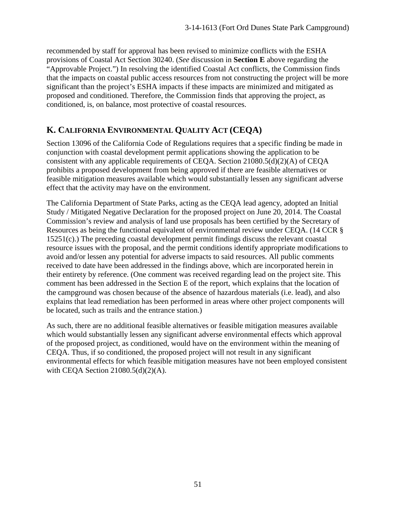recommended by staff for approval has been revised to minimize conflicts with the ESHA provisions of Coastal Act Section 30240. (*See* discussion in **Section E** above regarding the "Approvable Project.") In resolving the identified Coastal Act conflicts, the Commission finds that the impacts on coastal public access resources from not constructing the project will be more significant than the project's ESHA impacts if these impacts are minimized and mitigated as proposed and conditioned. Therefore, the Commission finds that approving the project, as conditioned, is, on balance, most protective of coastal resources.

# **K. CALIFORNIA ENVIRONMENTAL QUALITY ACT (CEQA)**

Section 13096 of the California Code of Regulations requires that a specific finding be made in conjunction with coastal development permit applications showing the application to be consistent with any applicable requirements of CEQA. Section 21080.5(d)(2)(A) of CEQA prohibits a proposed development from being approved if there are feasible alternatives or feasible mitigation measures available which would substantially lessen any significant adverse effect that the activity may have on the environment.

The California Department of State Parks, acting as the CEQA lead agency, adopted an Initial Study / Mitigated Negative Declaration for the proposed project on June 20, 2014. The Coastal Commission's review and analysis of land use proposals has been certified by the Secretary of Resources as being the functional equivalent of environmental review under CEQA. (14 CCR § 15251(c).) The preceding coastal development permit findings discuss the relevant coastal resource issues with the proposal, and the permit conditions identify appropriate modifications to avoid and/or lessen any potential for adverse impacts to said resources. All public comments received to date have been addressed in the findings above, which are incorporated herein in their entirety by reference. (One comment was received regarding lead on the project site. This comment has been addressed in the Section E of the report, which explains that the location of the campground was chosen because of the absence of hazardous materials (i.e. lead), and also explains that lead remediation has been performed in areas where other project components will be located, such as trails and the entrance station.)

As such, there are no additional feasible alternatives or feasible mitigation measures available which would substantially lessen any significant adverse environmental effects which approval of the proposed project, as conditioned, would have on the environment within the meaning of CEQA. Thus, if so conditioned, the proposed project will not result in any significant environmental effects for which feasible mitigation measures have not been employed consistent with CEQA Section 21080.5(d)(2)(A).